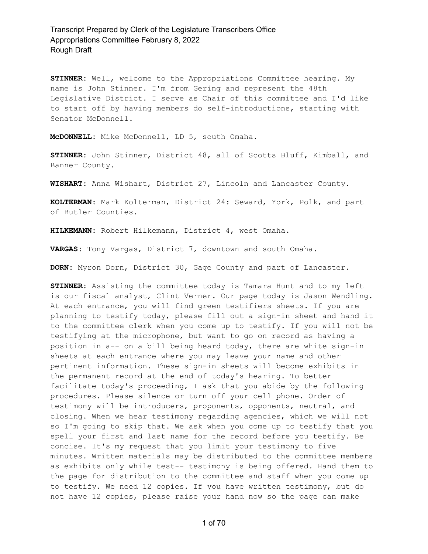**STINNER:** Well, welcome to the Appropriations Committee hearing. My name is John Stinner. I'm from Gering and represent the 48th Legislative District. I serve as Chair of this committee and I'd like to start off by having members do self-introductions, starting with Senator McDonnell.

**McDONNELL:** Mike McDonnell, LD 5, south Omaha.

**STINNER:** John Stinner, District 48, all of Scotts Bluff, Kimball, and Banner County.

**WISHART:** Anna Wishart, District 27, Lincoln and Lancaster County.

**KOLTERMAN:** Mark Kolterman, District 24: Seward, York, Polk, and part of Butler Counties.

**HILKEMANN:** Robert Hilkemann, District 4, west Omaha.

**VARGAS:** Tony Vargas, District 7, downtown and south Omaha.

**DORN:** Myron Dorn, District 30, Gage County and part of Lancaster.

**STINNER:** Assisting the committee today is Tamara Hunt and to my left is our fiscal analyst, Clint Verner. Our page today is Jason Wendling. At each entrance, you will find green testifiers sheets. If you are planning to testify today, please fill out a sign-in sheet and hand it to the committee clerk when you come up to testify. If you will not be testifying at the microphone, but want to go on record as having a position in a-- on a bill being heard today, there are white sign-in sheets at each entrance where you may leave your name and other pertinent information. These sign-in sheets will become exhibits in the permanent record at the end of today's hearing. To better facilitate today's proceeding, I ask that you abide by the following procedures. Please silence or turn off your cell phone. Order of testimony will be introducers, proponents, opponents, neutral, and closing. When we hear testimony regarding agencies, which we will not so I'm going to skip that. We ask when you come up to testify that you spell your first and last name for the record before you testify. Be concise. It's my request that you limit your testimony to five minutes. Written materials may be distributed to the committee members as exhibits only while test-- testimony is being offered. Hand them to the page for distribution to the committee and staff when you come up to testify. We need 12 copies. If you have written testimony, but do not have 12 copies, please raise your hand now so the page can make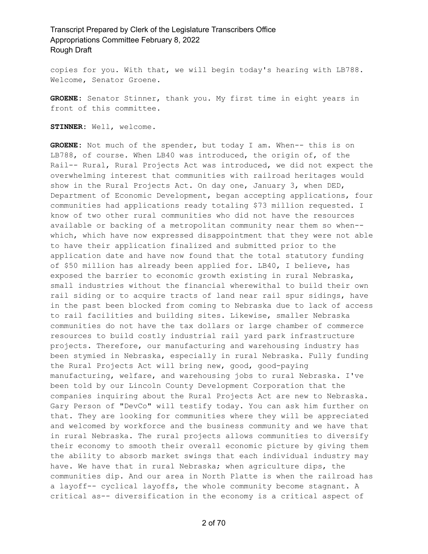copies for you. With that, we will begin today's hearing with LB788. Welcome, Senator Groene.

**GROENE:** Senator Stinner, thank you. My first time in eight years in front of this committee.

STINNER: Well, welcome.

**GROENE:** Not much of the spender, but today I am. When-- this is on LB788, of course. When LB40 was introduced, the origin of, of the Rail-- Rural, Rural Projects Act was introduced, we did not expect the overwhelming interest that communities with railroad heritages would show in the Rural Projects Act. On day one, January 3, when DED, Department of Economic Development, began accepting applications, four communities had applications ready totaling \$73 million requested. I know of two other rural communities who did not have the resources available or backing of a metropolitan community near them so when- which, which have now expressed disappointment that they were not able to have their application finalized and submitted prior to the application date and have now found that the total statutory funding of \$50 million has already been applied for. LB40, I believe, has exposed the barrier to economic growth existing in rural Nebraska, small industries without the financial wherewithal to build their own rail siding or to acquire tracts of land near rail spur sidings, have in the past been blocked from coming to Nebraska due to lack of access to rail facilities and building sites. Likewise, smaller Nebraska communities do not have the tax dollars or large chamber of commerce resources to build costly industrial rail yard park infrastructure projects. Therefore, our manufacturing and warehousing industry has been stymied in Nebraska, especially in rural Nebraska. Fully funding the Rural Projects Act will bring new, good, good-paying manufacturing, welfare, and warehousing jobs to rural Nebraska. I've been told by our Lincoln County Development Corporation that the companies inquiring about the Rural Projects Act are new to Nebraska. Gary Person of "DevCo" will testify today. You can ask him further on that. They are looking for communities where they will be appreciated and welcomed by workforce and the business community and we have that in rural Nebraska. The rural projects allows communities to diversify their economy to smooth their overall economic picture by giving them the ability to absorb market swings that each individual industry may have. We have that in rural Nebraska; when agriculture dips, the communities dip. And our area in North Platte is when the railroad has a layoff-- cyclical layoffs, the whole community become stagnant. A critical as-- diversification in the economy is a critical aspect of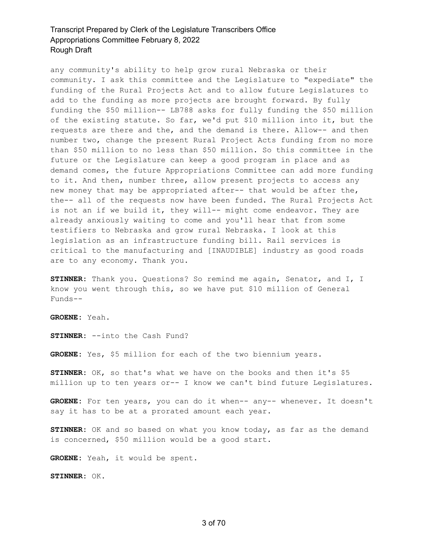any community's ability to help grow rural Nebraska or their community. I ask this committee and the Legislature to "expediate" the funding of the Rural Projects Act and to allow future Legislatures to add to the funding as more projects are brought forward. By fully funding the \$50 million-- LB788 asks for fully funding the \$50 million of the existing statute. So far, we'd put \$10 million into it, but the requests are there and the, and the demand is there. Allow-- and then number two, change the present Rural Project Acts funding from no more than \$50 million to no less than \$50 million. So this committee in the future or the Legislature can keep a good program in place and as demand comes, the future Appropriations Committee can add more funding to it. And then, number three, allow present projects to access any new money that may be appropriated after-- that would be after the, the-- all of the requests now have been funded. The Rural Projects Act is not an if we build it, they will-- might come endeavor. They are already anxiously waiting to come and you'll hear that from some testifiers to Nebraska and grow rural Nebraska. I look at this legislation as an infrastructure funding bill. Rail services is critical to the manufacturing and [INAUDIBLE] industry as good roads are to any economy. Thank you.

**STINNER:** Thank you. Questions? So remind me again, Senator, and I, I know you went through this, so we have put \$10 million of General Funds--

**GROENE:** Yeah.

**STINNER:** --into the Cash Fund?

**GROENE:** Yes, \$5 million for each of the two biennium years.

**STINNER:** OK, so that's what we have on the books and then it's \$5 million up to ten years or-- I know we can't bind future Legislatures.

**GROENE:** For ten years, you can do it when-- any-- whenever. It doesn't say it has to be at a prorated amount each year.

**STINNER:** OK and so based on what you know today, as far as the demand is concerned, \$50 million would be a good start.

**GROENE:** Yeah, it would be spent.

**STINNER:** OK.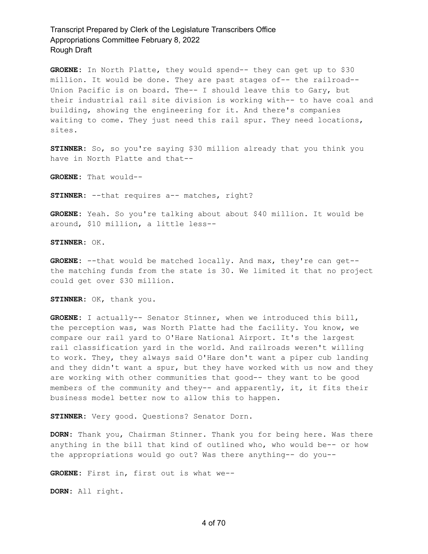**GROENE:** In North Platte, they would spend-- they can get up to \$30 million. It would be done. They are past stages of-- the railroad-- Union Pacific is on board. The-- I should leave this to Gary, but their industrial rail site division is working with-- to have coal and building, showing the engineering for it. And there's companies waiting to come. They just need this rail spur. They need locations, sites.

**STINNER:** So, so you're saying \$30 million already that you think you have in North Platte and that--

**GROENE:** That would--

**STINNER:** --that requires a-- matches, right?

**GROENE:** Yeah. So you're talking about about \$40 million. It would be around, \$10 million, a little less--

**STINNER:** OK.

**GROENE:** --that would be matched locally. And max, they're can get- the matching funds from the state is 30. We limited it that no project could get over \$30 million.

**STINNER:** OK, thank you.

**GROENE:** I actually-- Senator Stinner, when we introduced this bill, the perception was, was North Platte had the facility. You know, we compare our rail yard to O'Hare National Airport. It's the largest rail classification yard in the world. And railroads weren't willing to work. They, they always said O'Hare don't want a piper cub landing and they didn't want a spur, but they have worked with us now and they are working with other communities that good-- they want to be good members of the community and they-- and apparently, it, it fits their business model better now to allow this to happen.

**STINNER:** Very good. Questions? Senator Dorn.

**DORN:** Thank you, Chairman Stinner. Thank you for being here. Was there anything in the bill that kind of outlined who, who would be-- or how the appropriations would go out? Was there anything-- do you--

**GROENE:** First in, first out is what we--

**DORN:** All right.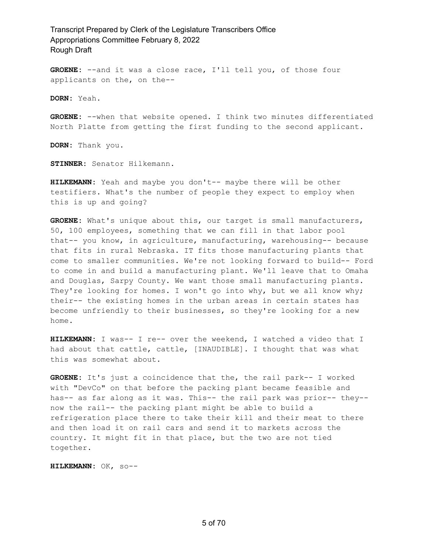**GROENE:** --and it was a close race, I'll tell you, of those four applicants on the, on the--

**DORN:** Yeah.

**GROENE:** --when that website opened. I think two minutes differentiated North Platte from getting the first funding to the second applicant.

**DORN:** Thank you.

**STINNER:** Senator Hilkemann.

**HILKEMANN:** Yeah and maybe you don't-- maybe there will be other testifiers. What's the number of people they expect to employ when this is up and going?

**GROENE:** What's unique about this, our target is small manufacturers, 50, 100 employees, something that we can fill in that labor pool that-- you know, in agriculture, manufacturing, warehousing-- because that fits in rural Nebraska. IT fits those manufacturing plants that come to smaller communities. We're not looking forward to build-- Ford to come in and build a manufacturing plant. We'll leave that to Omaha and Douglas, Sarpy County. We want those small manufacturing plants. They're looking for homes. I won't go into why, but we all know why; their-- the existing homes in the urban areas in certain states has become unfriendly to their businesses, so they're looking for a new home.

**HILKEMANN:** I was-- I re-- over the weekend, I watched a video that I had about that cattle, cattle, [INAUDIBLE]. I thought that was what this was somewhat about.

**GROENE:** It's just a coincidence that the, the rail park-- I worked with "DevCo" on that before the packing plant became feasible and has-- as far along as it was. This-- the rail park was prior-- they- now the rail-- the packing plant might be able to build a refrigeration place there to take their kill and their meat to there and then load it on rail cars and send it to markets across the country. It might fit in that place, but the two are not tied together.

**HILKEMANN:** OK, so--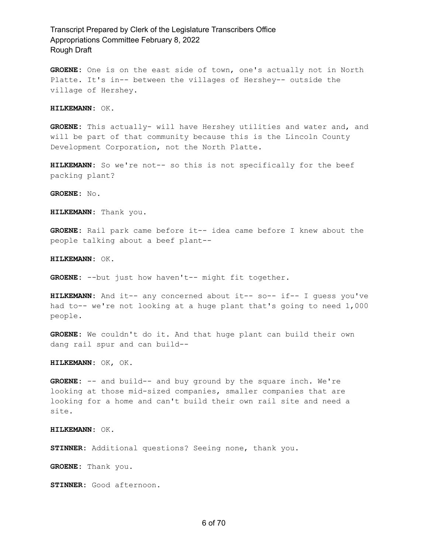**GROENE:** One is on the east side of town, one's actually not in North Platte. It's in-- between the villages of Hershey-- outside the village of Hershey.

**HILKEMANN:** OK.

**GROENE:** This actually- will have Hershey utilities and water and, and will be part of that community because this is the Lincoln County Development Corporation, not the North Platte.

**HILKEMANN:** So we're not-- so this is not specifically for the beef packing plant?

**GROENE:** No.

**HILKEMANN:** Thank you.

**GROENE:** Rail park came before it-- idea came before I knew about the people talking about a beef plant--

**HILKEMANN:** OK.

**GROENE:** --but just how haven't-- might fit together.

**HILKEMANN:** And it-- any concerned about it-- so-- if-- I guess you've had to-- we're not looking at a huge plant that's going to need 1,000 people.

**GROENE:** We couldn't do it. And that huge plant can build their own dang rail spur and can build--

**HILKEMANN:** OK, OK.

**GROENE:** -- and build-- and buy ground by the square inch. We're looking at those mid-sized companies, smaller companies that are looking for a home and can't build their own rail site and need a site.

**HILKEMANN:** OK.

**STINNER:** Additional questions? Seeing none, thank you.

**GROENE:** Thank you.

**STINNER:** Good afternoon.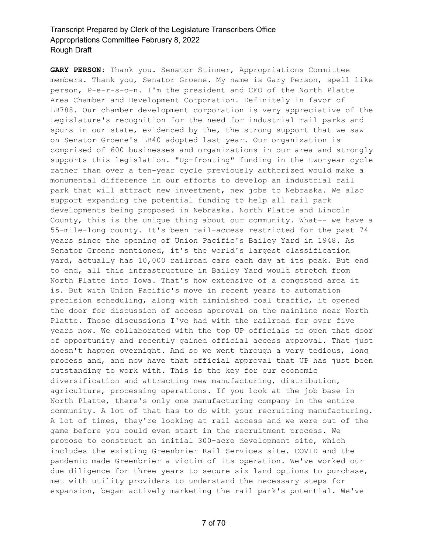**GARY PERSON:** Thank you. Senator Stinner, Appropriations Committee members. Thank you, Senator Groene. My name is Gary Person, spell like person, P-e-r-s-o-n. I'm the president and CEO of the North Platte Area Chamber and Development Corporation. Definitely in favor of LB788. Our chamber development corporation is very appreciative of the Legislature's recognition for the need for industrial rail parks and spurs in our state, evidenced by the, the strong support that we saw on Senator Groene's LB40 adopted last year. Our organization is comprised of 600 businesses and organizations in our area and strongly supports this legislation. "Up-fronting" funding in the two-year cycle rather than over a ten-year cycle previously authorized would make a monumental difference in our efforts to develop an industrial rail park that will attract new investment, new jobs to Nebraska. We also support expanding the potential funding to help all rail park developments being proposed in Nebraska. North Platte and Lincoln County, this is the unique thing about our community. What-- we have a 55-mile-long county. It's been rail-access restricted for the past 74 years since the opening of Union Pacific's Bailey Yard in 1948. As Senator Groene mentioned, it's the world's largest classification yard, actually has 10,000 railroad cars each day at its peak. But end to end, all this infrastructure in Bailey Yard would stretch from North Platte into Iowa. That's how extensive of a congested area it is. But with Union Pacific's move in recent years to automation precision scheduling, along with diminished coal traffic, it opened the door for discussion of access approval on the mainline near North Platte. Those discussions I've had with the railroad for over five years now. We collaborated with the top UP officials to open that door of opportunity and recently gained official access approval. That just doesn't happen overnight. And so we went through a very tedious, long process and, and now have that official approval that UP has just been outstanding to work with. This is the key for our economic diversification and attracting new manufacturing, distribution, agriculture, processing operations. If you look at the job base in North Platte, there's only one manufacturing company in the entire community. A lot of that has to do with your recruiting manufacturing. A lot of times, they're looking at rail access and we were out of the game before you could even start in the recruitment process. We propose to construct an initial 300-acre development site, which includes the existing Greenbrier Rail Services site. COVID and the pandemic made Greenbrier a victim of its operation. We've worked our due diligence for three years to secure six land options to purchase, met with utility providers to understand the necessary steps for expansion, began actively marketing the rail park's potential. We've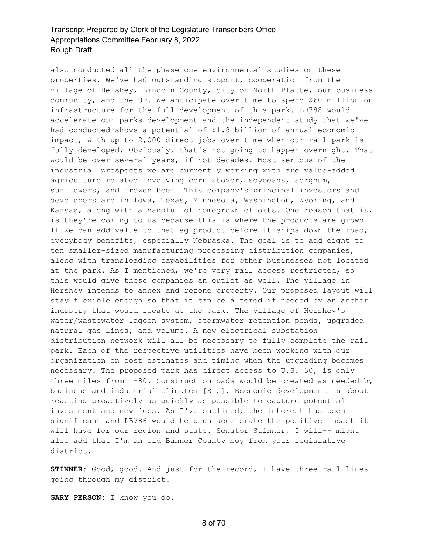also conducted all the phase one environmental studies on these properties. We've had outstanding support, cooperation from the village of Hershey, Lincoln County, city of North Platte, our business community, and the UP. We anticipate over time to spend \$60 million on infrastructure for the full development of this park. LB788 would accelerate our parks development and the independent study that we've had conducted shows a potential of \$1.8 billion of annual economic impact, with up to 2,000 direct jobs over time when our rail park is fully developed. Obviously, that's not going to happen overnight. That would be over several years, if not decades. Most serious of the industrial prospects we are currently working with are value-added agriculture related involving corn stover, soybeans, sorghum, sunflowers, and frozen beef. This company's principal investors and developers are in Iowa, Texas, Minnesota, Washington, Wyoming, and Kansas, along with a handful of homegrown efforts. One reason that is, is they're coming to us because this is where the products are grown. If we can add value to that ag product before it ships down the road, everybody benefits, especially Nebraska. The goal is to add eight to ten smaller-sized manufacturing processing distribution companies, along with transloading capabilities for other businesses not located at the park. As I mentioned, we're very rail access restricted, so this would give those companies an outlet as well. The village in Hershey intends to annex and rezone property. Our proposed layout will stay flexible enough so that it can be altered if needed by an anchor industry that would locate at the park. The village of Hershey's water/wastewater lagoon system, stormwater retention ponds, upgraded natural gas lines, and volume. A new electrical substation distribution network will all be necessary to fully complete the rail park. Each of the respective utilities have been working with our organization on cost estimates and timing when the upgrading becomes necessary. The proposed park has direct access to U.S. 30, is only three miles from I-80. Construction pads would be created as needed by business and industrial climates [SIC]. Economic development is about reacting proactively as quickly as possible to capture potential investment and new jobs. As I've outlined, the interest has been significant and LB788 would help us accelerate the positive impact it will have for our region and state. Senator Stinner, I will-- might also add that I'm an old Banner County boy from your legislative district.

**STINNER:** Good, good. And just for the record, I have three rail lines going through my district.

**GARY PERSON:** I know you do.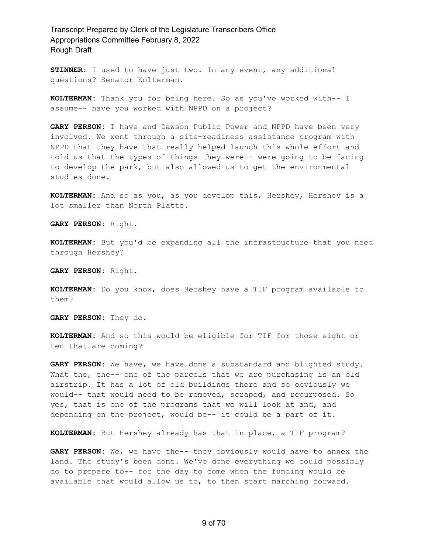**STINNER:** I used to have just two. In any event, any additional questions? Senator Kolterman.

**KOLTERMAN:** Thank you for being here. So as you've worked with-- I assume-- have you worked with NPPD on a project?

**GARY PERSON:** I have and Dawson Public Power and NPPD have been very involved. We went through a site-readiness assistance program with NPPD that they have that really helped launch this whole effort and told us that the types of things they were-- were going to be facing to develop the park, but also allowed us to get the environmental studies done.

**KOLTERMAN:** And so as you, as you develop this, Hershey, Hershey is a lot smaller than North Platte.

**GARY PERSON:** Right.

**KOLTERMAN:** But you'd be expanding all the infrastructure that you need through Hershey?

**GARY PERSON:** Right.

**KOLTERMAN:** Do you know, does Hershey have a TIF program available to them?

**GARY PERSON:** They do.

**KOLTERMAN:** And so this would be eligible for TIF for those eight or ten that are coming?

**GARY PERSON:** We have, we have done a substandard and blighted study. What the, the-- one of the parcels that we are purchasing is an old airstrip. It has a lot of old buildings there and so obviously we would-- that would need to be removed, scraped, and repurposed. So yes, that is one of the programs that we will look at and, and depending on the project, would be-- it could be a part of it.

**KOLTERMAN:** But Hershey already has that in place, a TIF program?

**GARY PERSON:** We, we have the-- they obviously would have to annex the land. The study's been done. We've done everything we could possibly do to prepare to-- for the day to come when the funding would be available that would allow us to, to then start marching forward.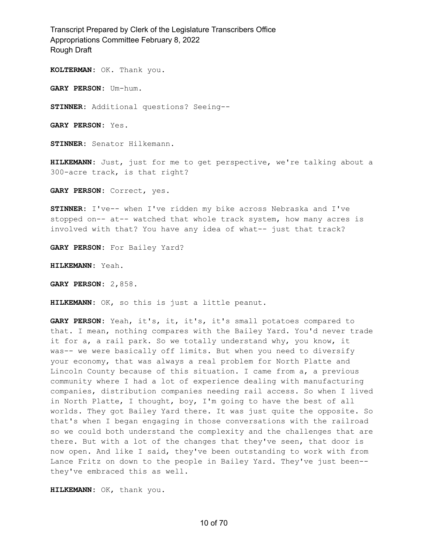**KOLTERMAN:** OK. Thank you.

**GARY PERSON:** Um-hum.

**STINNER:** Additional questions? Seeing--

**GARY PERSON:** Yes.

**STINNER:** Senator Hilkemann.

**HILKEMANN:** Just, just for me to get perspective, we're talking about a 300-acre track, is that right?

**GARY PERSON:** Correct, yes.

**STINNER:** I've-- when I've ridden my bike across Nebraska and I've stopped on-- at-- watched that whole track system, how many acres is involved with that? You have any idea of what-- just that track?

**GARY PERSON:** For Bailey Yard?

**HILKEMANN:** Yeah.

**GARY PERSON:** 2,858.

**HILKEMANN:** OK, so this is just a little peanut.

**GARY PERSON:** Yeah, it's, it, it's, it's small potatoes compared to that. I mean, nothing compares with the Bailey Yard. You'd never trade it for a, a rail park. So we totally understand why, you know, it was-- we were basically off limits. But when you need to diversify your economy, that was always a real problem for North Platte and Lincoln County because of this situation. I came from a, a previous community where I had a lot of experience dealing with manufacturing companies, distribution companies needing rail access. So when I lived in North Platte, I thought, boy, I'm going to have the best of all worlds. They got Bailey Yard there. It was just quite the opposite. So that's when I began engaging in those conversations with the railroad so we could both understand the complexity and the challenges that are there. But with a lot of the changes that they've seen, that door is now open. And like I said, they've been outstanding to work with from Lance Fritz on down to the people in Bailey Yard. They've just been- they've embraced this as well.

**HILKEMANN:** OK, thank you.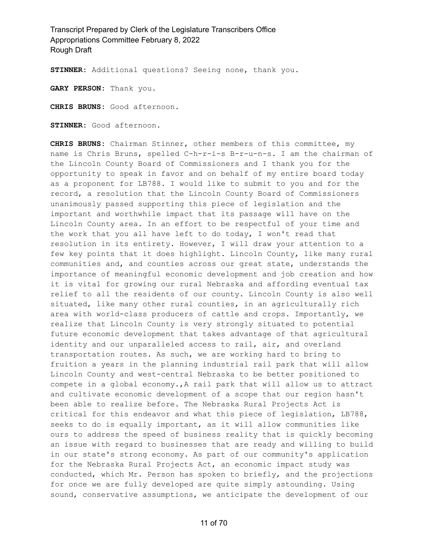**STINNER:** Additional questions? Seeing none, thank you.

**GARY PERSON:** Thank you.

**CHRIS BRUNS:** Good afternoon.

**STINNER:** Good afternoon.

**CHRIS BRUNS:** Chairman Stinner, other members of this committee, my name is Chris Bruns, spelled C-h-r-i-s B-r-u-n-s. I am the chairman of the Lincoln County Board of Commissioners and I thank you for the opportunity to speak in favor and on behalf of my entire board today as a proponent for LB788. I would like to submit to you and for the record, a resolution that the Lincoln County Board of Commissioners unanimously passed supporting this piece of legislation and the important and worthwhile impact that its passage will have on the Lincoln County area. In an effort to be respectful of your time and the work that you all have left to do today, I won't read that resolution in its entirety. However, I will draw your attention to a few key points that it does highlight. Lincoln County, like many rural communities and, and counties across our great state, understands the importance of meaningful economic development and job creation and how it is vital for growing our rural Nebraska and affording eventual tax relief to all the residents of our county. Lincoln County is also well situated, like many other rural counties, in an agriculturally rich area with world-class producers of cattle and crops. Importantly, we realize that Lincoln County is very strongly situated to potential future economic development that takes advantage of that agricultural identity and our unparalleled access to rail, air, and overland transportation routes. As such, we are working hard to bring to fruition a years in the planning industrial rail park that will allow Lincoln County and west-central Nebraska to be better positioned to compete in a global economy.,A rail park that will allow us to attract and cultivate economic development of a scope that our region hasn't been able to realize before. The Nebraska Rural Projects Act is critical for this endeavor and what this piece of legislation, LB788, seeks to do is equally important, as it will allow communities like ours to address the speed of business reality that is quickly becoming an issue with regard to businesses that are ready and willing to build in our state's strong economy. As part of our community's application for the Nebraska Rural Projects Act, an economic impact study was conducted, which Mr. Person has spoken to briefly, and the projections for once we are fully developed are quite simply astounding. Using sound, conservative assumptions, we anticipate the development of our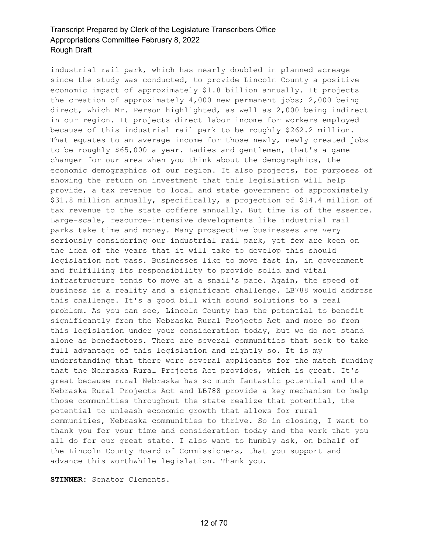industrial rail park, which has nearly doubled in planned acreage since the study was conducted, to provide Lincoln County a positive economic impact of approximately \$1.8 billion annually. It projects the creation of approximately 4,000 new permanent jobs; 2,000 being direct, which Mr. Person highlighted, as well as 2,000 being indirect in our region. It projects direct labor income for workers employed because of this industrial rail park to be roughly \$262.2 million. That equates to an average income for those newly, newly created jobs to be roughly \$65,000 a year. Ladies and gentlemen, that's a game changer for our area when you think about the demographics, the economic demographics of our region. It also projects, for purposes of showing the return on investment that this legislation will help provide, a tax revenue to local and state government of approximately \$31.8 million annually, specifically, a projection of \$14.4 million of tax revenue to the state coffers annually. But time is of the essence. Large-scale, resource-intensive developments like industrial rail parks take time and money. Many prospective businesses are very seriously considering our industrial rail park, yet few are keen on the idea of the years that it will take to develop this should legislation not pass. Businesses like to move fast in, in government and fulfilling its responsibility to provide solid and vital infrastructure tends to move at a snail's pace. Again, the speed of business is a reality and a significant challenge. LB788 would address this challenge. It's a good bill with sound solutions to a real problem. As you can see, Lincoln County has the potential to benefit significantly from the Nebraska Rural Projects Act and more so from this legislation under your consideration today, but we do not stand alone as benefactors. There are several communities that seek to take full advantage of this legislation and rightly so. It is my understanding that there were several applicants for the match funding that the Nebraska Rural Projects Act provides, which is great. It's great because rural Nebraska has so much fantastic potential and the Nebraska Rural Projects Act and LB788 provide a key mechanism to help those communities throughout the state realize that potential, the potential to unleash economic growth that allows for rural communities, Nebraska communities to thrive. So in closing, I want to thank you for your time and consideration today and the work that you all do for our great state. I also want to humbly ask, on behalf of the Lincoln County Board of Commissioners, that you support and advance this worthwhile legislation. Thank you.

**STINNER:** Senator Clements.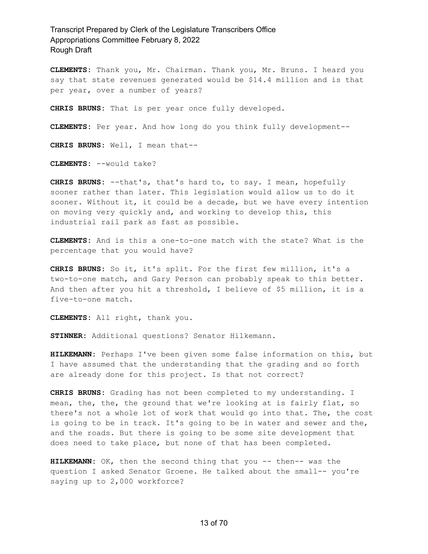**CLEMENTS:** Thank you, Mr. Chairman. Thank you, Mr. Bruns. I heard you say that state revenues generated would be \$14.4 million and is that per year, over a number of years?

**CHRIS BRUNS:** That is per year once fully developed.

**CLEMENTS:** Per year. And how long do you think fully development--

**CHRIS BRUNS:** Well, I mean that--

**CLEMENTS:** --would take?

**CHRIS BRUNS:** --that's, that's hard to, to say. I mean, hopefully sooner rather than later. This legislation would allow us to do it sooner. Without it, it could be a decade, but we have every intention on moving very quickly and, and working to develop this, this industrial rail park as fast as possible.

**CLEMENTS:** And is this a one-to-one match with the state? What is the percentage that you would have?

**CHRIS BRUNS:** So it, it's split. For the first few million, it's a two-to-one match, and Gary Person can probably speak to this better. And then after you hit a threshold, I believe of \$5 million, it is a five-to-one match.

**CLEMENTS:** All right, thank you.

**STINNER:** Additional questions? Senator Hilkemann.

**HILKEMANN:** Perhaps I've been given some false information on this, but I have assumed that the understanding that the grading and so forth are already done for this project. Is that not correct?

**CHRIS BRUNS:** Grading has not been completed to my understanding. I mean, the, the, the ground that we're looking at is fairly flat, so there's not a whole lot of work that would go into that. The, the cost is going to be in track. It's going to be in water and sewer and the, and the roads. But there is going to be some site development that does need to take place, but none of that has been completed.

**HILKEMANN:** OK, then the second thing that you -- then-- was the question I asked Senator Groene. He talked about the small-- you're saying up to 2,000 workforce?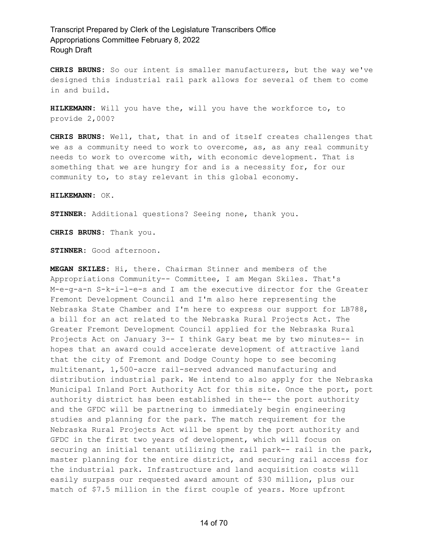**CHRIS BRUNS:** So our intent is smaller manufacturers, but the way we've designed this industrial rail park allows for several of them to come in and build.

**HILKEMANN:** Will you have the, will you have the workforce to, to provide 2,000?

**CHRIS BRUNS:** Well, that, that in and of itself creates challenges that we as a community need to work to overcome, as, as any real community needs to work to overcome with, with economic development. That is something that we are hungry for and is a necessity for, for our community to, to stay relevant in this global economy.

#### **HILKEMANN:** OK.

**STINNER:** Additional questions? Seeing none, thank you.

**CHRIS BRUNS:** Thank you.

**STINNER:** Good afternoon.

**MEGAN SKILES:** Hi, there. Chairman Stinner and members of the Appropriations Community-- Committee, I am Megan Skiles. That's M-e-g-a-n S-k-i-l-e-s and I am the executive director for the Greater Fremont Development Council and I'm also here representing the Nebraska State Chamber and I'm here to express our support for LB788, a bill for an act related to the Nebraska Rural Projects Act. The Greater Fremont Development Council applied for the Nebraska Rural Projects Act on January 3-- I think Gary beat me by two minutes-- in hopes that an award could accelerate development of attractive land that the city of Fremont and Dodge County hope to see becoming multitenant, 1,500-acre rail-served advanced manufacturing and distribution industrial park. We intend to also apply for the Nebraska Municipal Inland Port Authority Act for this site. Once the port, port authority district has been established in the-- the port authority and the GFDC will be partnering to immediately begin engineering studies and planning for the park. The match requirement for the Nebraska Rural Projects Act will be spent by the port authority and GFDC in the first two years of development, which will focus on securing an initial tenant utilizing the rail park-- rail in the park, master planning for the entire district, and securing rail access for the industrial park. Infrastructure and land acquisition costs will easily surpass our requested award amount of \$30 million, plus our match of \$7.5 million in the first couple of years. More upfront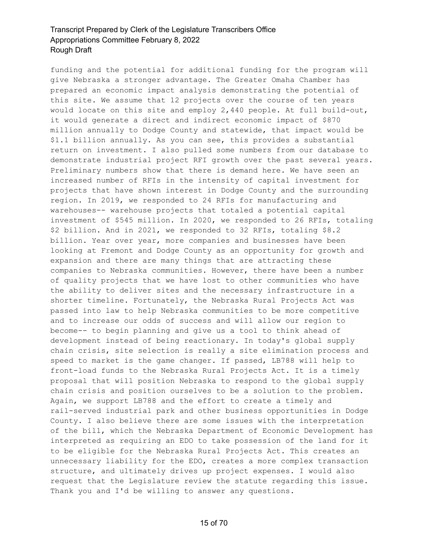funding and the potential for additional funding for the program will give Nebraska a stronger advantage. The Greater Omaha Chamber has prepared an economic impact analysis demonstrating the potential of this site. We assume that 12 projects over the course of ten years would locate on this site and employ 2,440 people. At full build-out, it would generate a direct and indirect economic impact of \$870 million annually to Dodge County and statewide, that impact would be \$1.1 billion annually. As you can see, this provides a substantial return on investment. I also pulled some numbers from our database to demonstrate industrial project RFI growth over the past several years. Preliminary numbers show that there is demand here. We have seen an increased number of RFIs in the intensity of capital investment for projects that have shown interest in Dodge County and the surrounding region. In 2019, we responded to 24 RFIs for manufacturing and warehouses-- warehouse projects that totaled a potential capital investment of \$545 million. In 2020, we responded to 26 RFIs, totaling \$2 billion. And in 2021, we responded to 32 RFIs, totaling \$8.2 billion. Year over year, more companies and businesses have been looking at Fremont and Dodge County as an opportunity for growth and expansion and there are many things that are attracting these companies to Nebraska communities. However, there have been a number of quality projects that we have lost to other communities who have the ability to deliver sites and the necessary infrastructure in a shorter timeline. Fortunately, the Nebraska Rural Projects Act was passed into law to help Nebraska communities to be more competitive and to increase our odds of success and will allow our region to become-- to begin planning and give us a tool to think ahead of development instead of being reactionary. In today's global supply chain crisis, site selection is really a site elimination process and speed to market is the game changer. If passed, LB788 will help to front-load funds to the Nebraska Rural Projects Act. It is a timely proposal that will position Nebraska to respond to the global supply chain crisis and position ourselves to be a solution to the problem. Again, we support LB788 and the effort to create a timely and rail-served industrial park and other business opportunities in Dodge County. I also believe there are some issues with the interpretation of the bill, which the Nebraska Department of Economic Development has interpreted as requiring an EDO to take possession of the land for it to be eligible for the Nebraska Rural Projects Act. This creates an unnecessary liability for the EDO, creates a more complex transaction structure, and ultimately drives up project expenses. I would also request that the Legislature review the statute regarding this issue. Thank you and I'd be willing to answer any questions.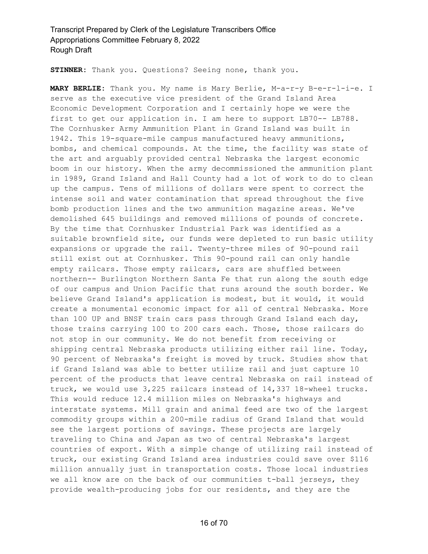**STINNER:** Thank you. Questions? Seeing none, thank you.

**MARY BERLIE:** Thank you. My name is Mary Berlie, M-a-r-y B-e-r-l-i-e. I serve as the executive vice president of the Grand Island Area Economic Development Corporation and I certainly hope we were the first to get our application in. I am here to support LB70-- LB788. The Cornhusker Army Ammunition Plant in Grand Island was built in 1942. This 19-square-mile campus manufactured heavy ammunitions, bombs, and chemical compounds. At the time, the facility was state of the art and arguably provided central Nebraska the largest economic boom in our history. When the army decommissioned the ammunition plant in 1989, Grand Island and Hall County had a lot of work to do to clean up the campus. Tens of millions of dollars were spent to correct the intense soil and water contamination that spread throughout the five bomb production lines and the two ammunition magazine areas. We've demolished 645 buildings and removed millions of pounds of concrete. By the time that Cornhusker Industrial Park was identified as a suitable brownfield site, our funds were depleted to run basic utility expansions or upgrade the rail. Twenty-three miles of 90-pound rail still exist out at Cornhusker. This 90-pound rail can only handle empty railcars. Those empty railcars, cars are shuffled between northern-- Burlington Northern Santa Fe that run along the south edge of our campus and Union Pacific that runs around the south border. We believe Grand Island's application is modest, but it would, it would create a monumental economic impact for all of central Nebraska. More than 100 UP and BNSF train cars pass through Grand Island each day, those trains carrying 100 to 200 cars each. Those, those railcars do not stop in our community. We do not benefit from receiving or shipping central Nebraska products utilizing either rail line. Today, 90 percent of Nebraska's freight is moved by truck. Studies show that if Grand Island was able to better utilize rail and just capture 10 percent of the products that leave central Nebraska on rail instead of truck, we would use 3,225 railcars instead of 14,337 18-wheel trucks. This would reduce 12.4 million miles on Nebraska's highways and interstate systems. Mill grain and animal feed are two of the largest commodity groups within a 200-mile radius of Grand Island that would see the largest portions of savings. These projects are largely traveling to China and Japan as two of central Nebraska's largest countries of export. With a simple change of utilizing rail instead of truck, our existing Grand Island area industries could save over \$116 million annually just in transportation costs. Those local industries we all know are on the back of our communities t-ball jerseys, they provide wealth-producing jobs for our residents, and they are the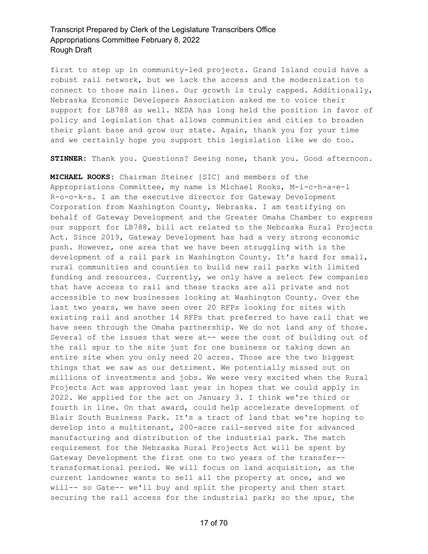first to step up in community-led projects. Grand Island could have a robust rail network, but we lack the access and the modernization to connect to those main lines. Our growth is truly capped. Additionally, Nebraska Economic Developers Association asked me to voice their support for LB788 as well. NEDA has long held the position in favor of policy and legislation that allows communities and cities to broaden their plant base and grow our state. Again, thank you for your time and we certainly hope you support this legislation like we do too.

**STINNER:** Thank you. Questions? Seeing none, thank you. Good afternoon.

**MICHAEL ROOKS:** Chairman Steiner [SIC] and members of the Appropriations Committee, my name is Michael Rooks, M-i-c-h-a-e-l R-o-o-k-s. I am the executive director for Gateway Development Corporation from Washington County, Nebraska. I am testifying on behalf of Gateway Development and the Greater Omaha Chamber to express our support for LB788, bill act related to the Nebraska Rural Projects Act. Since 2019, Gateway Development has had a very strong economic push. However, one area that we have been struggling with is the development of a rail park in Washington County. It's hard for small, rural communities and counties to build new rail parks with limited funding and resources. Currently, we only have a select few companies that have access to rail and these tracks are all private and not accessible to new businesses looking at Washington County. Over the last two years, we have seen over 20 RFPs looking for sites with existing rail and another 14 RFPs that preferred to have rail that we have seen through the Omaha partnership. We do not land any of those. Several of the issues that were at-- were the cost of building out of the rail spur to the site just for one business or taking down an entire site when you only need 20 acres. Those are the two biggest things that we saw as our detriment. We potentially missed out on millions of investments and jobs. We were very excited when the Rural Projects Act was approved last year in hopes that we could apply in 2022. We applied for the act on January 3. I think we're third or fourth in line. On that award, could help accelerate development of Blair South Business Park. It's a tract of land that we're hoping to develop into a multitenant, 200-acre rail-served site for advanced manufacturing and distribution of the industrial park. The match requirement for the Nebraska Rural Projects Act will be spent by Gateway Development the first one to two years of the transfer- transformational period. We will focus on land acquisition, as the current landowner wants to sell all the property at once, and we will-- so Gate-- we'll buy and split the property and then start securing the rail access for the industrial park; so the spur, the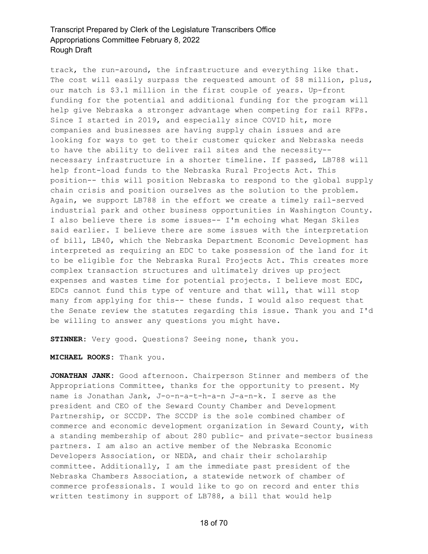track, the run-around, the infrastructure and everything like that. The cost will easily surpass the requested amount of \$8 million, plus, our match is \$3.1 million in the first couple of years. Up-front funding for the potential and additional funding for the program will help give Nebraska a stronger advantage when competing for rail RFPs. Since I started in 2019, and especially since COVID hit, more companies and businesses are having supply chain issues and are looking for ways to get to their customer quicker and Nebraska needs to have the ability to deliver rail sites and the necessity- necessary infrastructure in a shorter timeline. If passed, LB788 will help front-load funds to the Nebraska Rural Projects Act. This position-- this will position Nebraska to respond to the global supply chain crisis and position ourselves as the solution to the problem. Again, we support LB788 in the effort we create a timely rail-served industrial park and other business opportunities in Washington County. I also believe there is some issues-- I'm echoing what Megan Skiles said earlier. I believe there are some issues with the interpretation of bill, LB40, which the Nebraska Department Economic Development has interpreted as requiring an EDC to take possession of the land for it to be eligible for the Nebraska Rural Projects Act. This creates more complex transaction structures and ultimately drives up project expenses and wastes time for potential projects. I believe most EDC, EDCs cannot fund this type of venture and that will, that will stop many from applying for this-- these funds. I would also request that the Senate review the statutes regarding this issue. Thank you and I'd be willing to answer any questions you might have.

**STINNER:** Very good. Questions? Seeing none, thank you.

**MICHAEL ROOKS:** Thank you.

**JONATHAN JANK:** Good afternoon. Chairperson Stinner and members of the Appropriations Committee, thanks for the opportunity to present. My name is Jonathan Jank, J-o-n-a-t-h-a-n J-a-n-k. I serve as the president and CEO of the Seward County Chamber and Development Partnership, or SCCDP. The SCCDP is the sole combined chamber of commerce and economic development organization in Seward County, with a standing membership of about 280 public- and private-sector business partners. I am also an active member of the Nebraska Economic Developers Association, or NEDA, and chair their scholarship committee. Additionally, I am the immediate past president of the Nebraska Chambers Association, a statewide network of chamber of commerce professionals. I would like to go on record and enter this written testimony in support of LB788, a bill that would help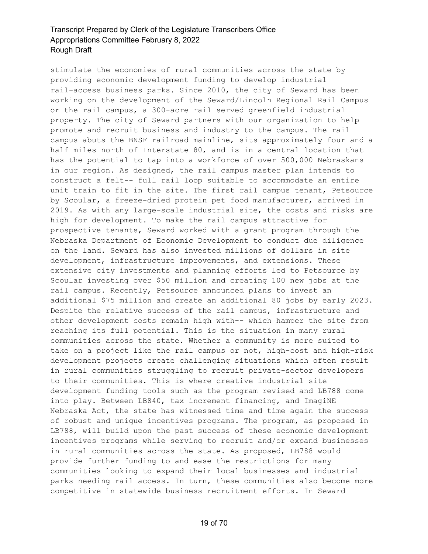stimulate the economies of rural communities across the state by providing economic development funding to develop industrial rail-access business parks. Since 2010, the city of Seward has been working on the development of the Seward/Lincoln Regional Rail Campus or the rail campus, a 300-acre rail served greenfield industrial property. The city of Seward partners with our organization to help promote and recruit business and industry to the campus. The rail campus abuts the BNSF railroad mainline, sits approximately four and a half miles north of Interstate 80, and is in a central location that has the potential to tap into a workforce of over 500,000 Nebraskans in our region. As designed, the rail campus master plan intends to construct a felt-- full rail loop suitable to accommodate an entire unit train to fit in the site. The first rail campus tenant, Petsource by Scoular, a freeze-dried protein pet food manufacturer, arrived in 2019. As with any large-scale industrial site, the costs and risks are high for development. To make the rail campus attractive for prospective tenants, Seward worked with a grant program through the Nebraska Department of Economic Development to conduct due diligence on the land. Seward has also invested millions of dollars in site development, infrastructure improvements, and extensions. These extensive city investments and planning efforts led to Petsource by Scoular investing over \$50 million and creating 100 new jobs at the rail campus. Recently, Petsource announced plans to invest an additional \$75 million and create an additional 80 jobs by early 2023. Despite the relative success of the rail campus, infrastructure and other development costs remain high with-- which hamper the site from reaching its full potential. This is the situation in many rural communities across the state. Whether a community is more suited to take on a project like the rail campus or not, high-cost and high-risk development projects create challenging situations which often result in rural communities struggling to recruit private-sector developers to their communities. This is where creative industrial site development funding tools such as the program revised and LB788 come into play. Between LB840, tax increment financing, and ImagiNE Nebraska Act, the state has witnessed time and time again the success of robust and unique incentives programs. The program, as proposed in LB788, will build upon the past success of these economic development incentives programs while serving to recruit and/or expand businesses in rural communities across the state. As proposed, LB788 would provide further funding to and ease the restrictions for many communities looking to expand their local businesses and industrial parks needing rail access. In turn, these communities also become more competitive in statewide business recruitment efforts. In Seward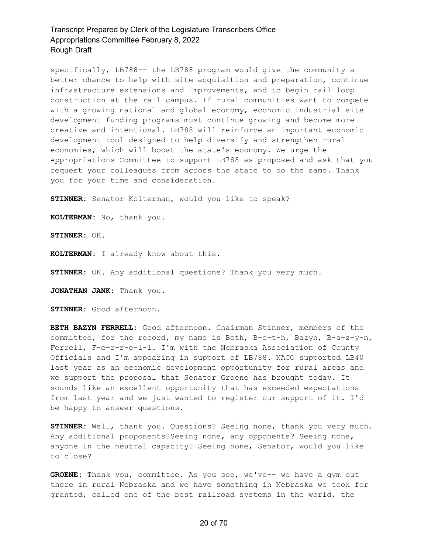specifically, LB788-- the LB788 program would give the community a better chance to help with site acquisition and preparation, continue infrastructure extensions and improvements, and to begin rail loop construction at the rail campus. If rural communities want to compete with a growing national and global economy, economic industrial site development funding programs must continue growing and become more creative and intentional. LB788 will reinforce an important economic development tool designed to help diversify and strengthen rural economies, which will boost the state's economy. We urge the Appropriations Committee to support LB788 as proposed and ask that you request your colleagues from across the state to do the same. Thank you for your time and consideration.

**STINNER:** Senator Kolterman, would you like to speak?

**KOLTERMAN:** No, thank you.

**STINNER:** OK.

**KOLTERMAN:** I already know about this.

**STINNER:** OK. Any additional questions? Thank you very much.

**JONATHAN JANK:** Thank you.

**STINNER:** Good afternoon.

**BETH BAZYN FERRELL:** Good afternoon. Chairman Stinner, members of the committee, for the record, my name is Beth, B-e-t-h, Bazyn, B-a-z-y-n, Ferrell, F-e-r-r-e-1-1. I'm with the Nebraska Association of County Officials and I'm appearing in support of LB788. NACO supported LB40 last year as an economic development opportunity for rural areas and we support the proposal that Senator Groene has brought today. It sounds like an excellent opportunity that has exceeded expectations from last year and we just wanted to register our support of it. I'd be happy to answer questions.

**STINNER:** Well, thank you. Questions? Seeing none, thank you very much. Any additional proponents?Seeing none, any opponents? Seeing none, anyone in the neutral capacity? Seeing none, Senator, would you like to close?

**GROENE:** Thank you, committee. As you see, we've-- we have a gym out there in rural Nebraska and we have something in Nebraska we took for granted, called one of the best railroad systems in the world, the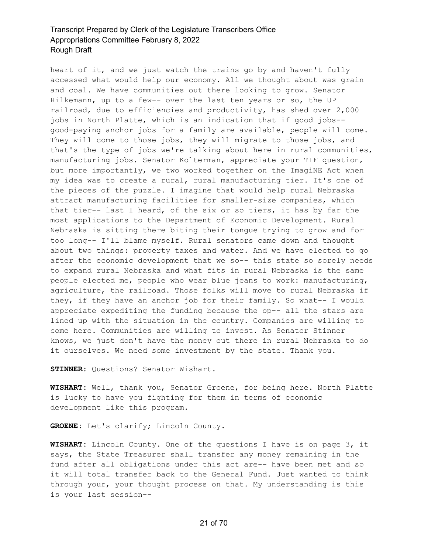heart of it, and we just watch the trains go by and haven't fully accessed what would help our economy. All we thought about was grain and coal. We have communities out there looking to grow. Senator Hilkemann, up to a few-- over the last ten years or so, the UP railroad, due to efficiencies and productivity, has shed over 2,000 jobs in North Platte, which is an indication that if good jobs- good-paying anchor jobs for a family are available, people will come. They will come to those jobs, they will migrate to those jobs, and that's the type of jobs we're talking about here in rural communities, manufacturing jobs. Senator Kolterman, appreciate your TIF question, but more importantly, we two worked together on the ImagiNE Act when my idea was to create a rural, rural manufacturing tier. It's one of the pieces of the puzzle. I imagine that would help rural Nebraska attract manufacturing facilities for smaller-size companies, which that tier-- last I heard, of the six or so tiers, it has by far the most applications to the Department of Economic Development. Rural Nebraska is sitting there biting their tongue trying to grow and for too long-- I'll blame myself. Rural senators came down and thought about two things: property taxes and water. And we have elected to go after the economic development that we so-- this state so sorely needs to expand rural Nebraska and what fits in rural Nebraska is the same people elected me, people who wear blue jeans to work: manufacturing, agriculture, the railroad. Those folks will move to rural Nebraska if they, if they have an anchor job for their family. So what-- I would appreciate expediting the funding because the op-- all the stars are lined up with the situation in the country. Companies are willing to come here. Communities are willing to invest. As Senator Stinner knows, we just don't have the money out there in rural Nebraska to do it ourselves. We need some investment by the state. Thank you.

**STINNER:** Questions? Senator Wishart.

**WISHART:** Well, thank you, Senator Groene, for being here. North Platte is lucky to have you fighting for them in terms of economic development like this program.

**GROENE:** Let's clarify; Lincoln County.

**WISHART:** Lincoln County. One of the questions I have is on page 3, it says, the State Treasurer shall transfer any money remaining in the fund after all obligations under this act are-- have been met and so it will total transfer back to the General Fund. Just wanted to think through your, your thought process on that. My understanding is this is your last session--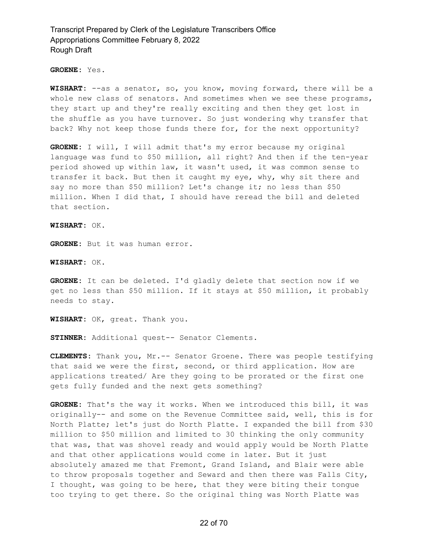**GROENE:** Yes.

**WISHART:** --as a senator, so, you know, moving forward, there will be a whole new class of senators. And sometimes when we see these programs, they start up and they're really exciting and then they get lost in the shuffle as you have turnover. So just wondering why transfer that back? Why not keep those funds there for, for the next opportunity?

**GROENE:** I will, I will admit that's my error because my original language was fund to \$50 million, all right? And then if the ten-year period showed up within law, it wasn't used, it was common sense to transfer it back. But then it caught my eye, why, why sit there and say no more than \$50 million? Let's change it; no less than \$50 million. When I did that, I should have reread the bill and deleted that section.

**WISHART:** OK.

**GROENE:** But it was human error.

**WISHART:** OK.

**GROENE:** It can be deleted. I'd gladly delete that section now if we get no less than \$50 million. If it stays at \$50 million, it probably needs to stay.

**WISHART:** OK, great. Thank you.

**STINNER:** Additional quest-- Senator Clements.

**CLEMENTS:** Thank you, Mr.-- Senator Groene. There was people testifying that said we were the first, second, or third application. How are applications treated/ Are they going to be prorated or the first one gets fully funded and the next gets something?

**GROENE:** That's the way it works. When we introduced this bill, it was originally-- and some on the Revenue Committee said, well, this is for North Platte; let's just do North Platte. I expanded the bill from \$30 million to \$50 million and limited to 30 thinking the only community that was, that was shovel ready and would apply would be North Platte and that other applications would come in later. But it just absolutely amazed me that Fremont, Grand Island, and Blair were able to throw proposals together and Seward and then there was Falls City, I thought, was going to be here, that they were biting their tongue too trying to get there. So the original thing was North Platte was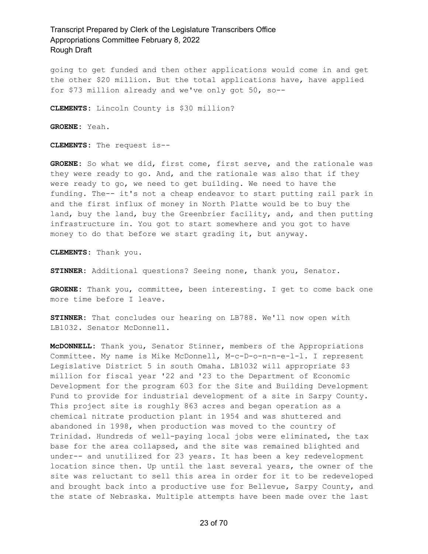going to get funded and then other applications would come in and get the other \$20 million. But the total applications have, have applied for \$73 million already and we've only got 50, so--

**CLEMENTS:** Lincoln County is \$30 million?

**GROENE:** Yeah.

**CLEMENTS:** The request is--

**GROENE:** So what we did, first come, first serve, and the rationale was they were ready to go. And, and the rationale was also that if they were ready to go, we need to get building. We need to have the funding. The-- it's not a cheap endeavor to start putting rail park in and the first influx of money in North Platte would be to buy the land, buy the land, buy the Greenbrier facility, and, and then putting infrastructure in. You got to start somewhere and you got to have money to do that before we start grading it, but anyway.

**CLEMENTS:** Thank you.

**STINNER:** Additional questions? Seeing none, thank you, Senator.

**GROENE:** Thank you, committee, been interesting. I get to come back one more time before I leave.

**STINNER:** That concludes our hearing on LB788. We'll now open with LB1032. Senator McDonnell.

**McDONNELL:** Thank you, Senator Stinner, members of the Appropriations Committee. My name is Mike McDonnell, M-c-D-o-n-n-e-l-l. I represent Legislative District 5 in south Omaha. LB1032 will appropriate \$3 million for fiscal year '22 and '23 to the Department of Economic Development for the program 603 for the Site and Building Development Fund to provide for industrial development of a site in Sarpy County. This project site is roughly 863 acres and began operation as a chemical nitrate production plant in 1954 and was shuttered and abandoned in 1998, when production was moved to the country of Trinidad. Hundreds of well-paying local jobs were eliminated, the tax base for the area collapsed, and the site was remained blighted and under-- and unutilized for 23 years. It has been a key redevelopment location since then. Up until the last several years, the owner of the site was reluctant to sell this area in order for it to be redeveloped and brought back into a productive use for Bellevue, Sarpy County, and the state of Nebraska. Multiple attempts have been made over the last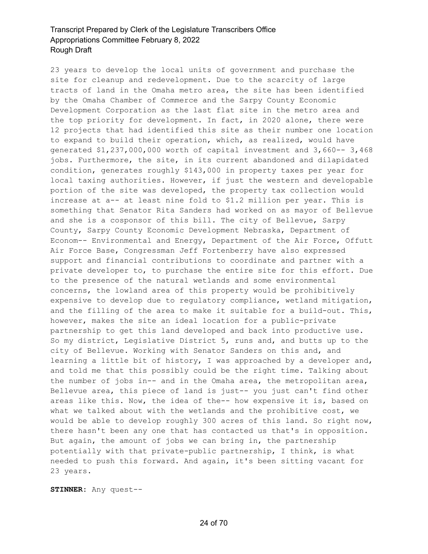23 years to develop the local units of government and purchase the site for cleanup and redevelopment. Due to the scarcity of large tracts of land in the Omaha metro area, the site has been identified by the Omaha Chamber of Commerce and the Sarpy County Economic Development Corporation as the last flat site in the metro area and the top priority for development. In fact, in 2020 alone, there were 12 projects that had identified this site as their number one location to expand to build their operation, which, as realized, would have generated \$1,237,000,000 worth of capital investment and 3,660-- 3,468 jobs. Furthermore, the site, in its current abandoned and dilapidated condition, generates roughly \$143,000 in property taxes per year for local taxing authorities. However, if just the western and developable portion of the site was developed, the property tax collection would increase at a-- at least nine fold to \$1.2 million per year. This is something that Senator Rita Sanders had worked on as mayor of Bellevue and she is a cosponsor of this bill. The city of Bellevue, Sarpy County, Sarpy County Economic Development Nebraska, Department of Econom-- Environmental and Energy, Department of the Air Force, Offutt Air Force Base, Congressman Jeff Fortenberry have also expressed support and financial contributions to coordinate and partner with a private developer to, to purchase the entire site for this effort. Due to the presence of the natural wetlands and some environmental concerns, the lowland area of this property would be prohibitively expensive to develop due to regulatory compliance, wetland mitigation, and the filling of the area to make it suitable for a build-out. This, however, makes the site an ideal location for a public-private partnership to get this land developed and back into productive use. So my district, Legislative District 5, runs and, and butts up to the city of Bellevue. Working with Senator Sanders on this and, and learning a little bit of history, I was approached by a developer and, and told me that this possibly could be the right time. Talking about the number of jobs in-- and in the Omaha area, the metropolitan area, Bellevue area, this piece of land is just-- you just can't find other areas like this. Now, the idea of the-- how expensive it is, based on what we talked about with the wetlands and the prohibitive cost, we would be able to develop roughly 300 acres of this land. So right now, there hasn't been any one that has contacted us that's in opposition. But again, the amount of jobs we can bring in, the partnership potentially with that private-public partnership, I think, is what needed to push this forward. And again, it's been sitting vacant for 23 years.

**STINNER:** Any quest--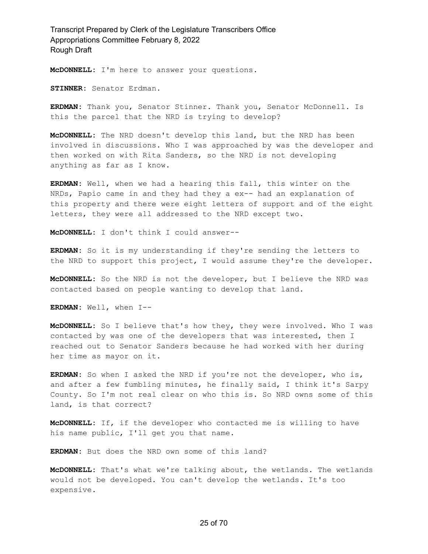**McDONNELL:** I'm here to answer your questions.

**STINNER:** Senator Erdman.

**ERDMAN:** Thank you, Senator Stinner. Thank you, Senator McDonnell. Is this the parcel that the NRD is trying to develop?

**McDONNELL:** The NRD doesn't develop this land, but the NRD has been involved in discussions. Who I was approached by was the developer and then worked on with Rita Sanders, so the NRD is not developing anything as far as I know.

**ERDMAN:** Well, when we had a hearing this fall, this winter on the NRDs, Papio came in and they had they a ex-- had an explanation of this property and there were eight letters of support and of the eight letters, they were all addressed to the NRD except two.

**McDONNELL:** I don't think I could answer--

**ERDMAN:** So it is my understanding if they're sending the letters to the NRD to support this project, I would assume they're the developer.

**McDONNELL:** So the NRD is not the developer, but I believe the NRD was contacted based on people wanting to develop that land.

**ERDMAN:** Well, when I--

**McDONNELL:** So I believe that's how they, they were involved. Who I was contacted by was one of the developers that was interested, then I reached out to Senator Sanders because he had worked with her during her time as mayor on it.

**ERDMAN:** So when I asked the NRD if you're not the developer, who is, and after a few fumbling minutes, he finally said, I think it's Sarpy County. So I'm not real clear on who this is. So NRD owns some of this land, is that correct?

**McDONNELL:** If, if the developer who contacted me is willing to have his name public, I'll get you that name.

**ERDMAN:** But does the NRD own some of this land?

**McDONNELL:** That's what we're talking about, the wetlands. The wetlands would not be developed. You can't develop the wetlands. It's too expensive.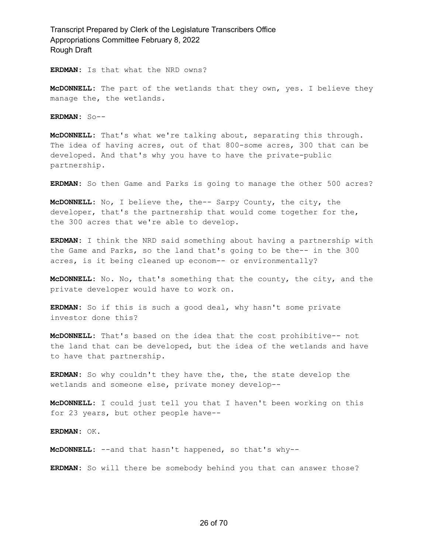**ERDMAN:** Is that what the NRD owns?

**McDONNELL:** The part of the wetlands that they own, yes. I believe they manage the, the wetlands.

**ERDMAN:** So--

**McDONNELL:** That's what we're talking about, separating this through. The idea of having acres, out of that 800-some acres, 300 that can be developed. And that's why you have to have the private-public partnership.

**ERDMAN:** So then Game and Parks is going to manage the other 500 acres?

**McDONNELL:** No, I believe the, the-- Sarpy County, the city, the developer, that's the partnership that would come together for the, the 300 acres that we're able to develop.

**ERDMAN:** I think the NRD said something about having a partnership with the Game and Parks, so the land that's going to be the-- in the 300 acres, is it being cleaned up econom-- or environmentally?

**McDONNELL:** No. No, that's something that the county, the city, and the private developer would have to work on.

**ERDMAN:** So if this is such a good deal, why hasn't some private investor done this?

**McDONNELL:** That's based on the idea that the cost prohibitive-- not the land that can be developed, but the idea of the wetlands and have to have that partnership.

**ERDMAN:** So why couldn't they have the, the, the state develop the wetlands and someone else, private money develop--

**McDONNELL:** I could just tell you that I haven't been working on this for 23 years, but other people have--

**ERDMAN:** OK.

**McDONNELL:** --and that hasn't happened, so that's why--

**ERDMAN:** So will there be somebody behind you that can answer those?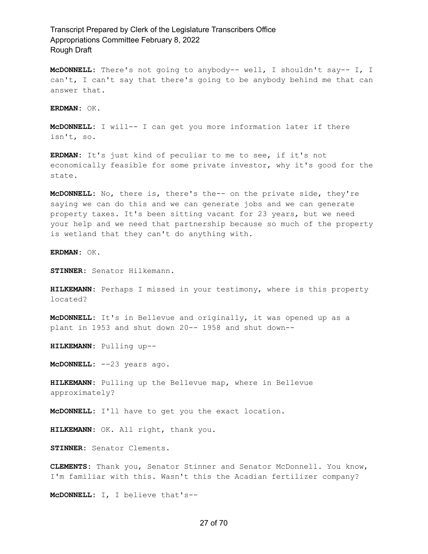**McDONNELL:** There's not going to anybody-- well, I shouldn't say-- I, I can't, I can't say that there's going to be anybody behind me that can answer that.

**ERDMAN:** OK.

**McDONNELL:** I will-- I can get you more information later if there isn't, so.

**ERDMAN:** It's just kind of peculiar to me to see, if it's not economically feasible for some private investor, why it's good for the state.

**McDONNELL:** No, there is, there's the-- on the private side, they're saying we can do this and we can generate jobs and we can generate property taxes. It's been sitting vacant for 23 years, but we need your help and we need that partnership because so much of the property is wetland that they can't do anything with.

**ERDMAN:** OK.

**STINNER:** Senator Hilkemann.

**HILKEMANN:** Perhaps I missed in your testimony, where is this property located?

**McDONNELL:** It's in Bellevue and originally, it was opened up as a plant in 1953 and shut down 20-- 1958 and shut down--

**HILKEMANN:** Pulling up--

**McDONNELL:** --23 years ago.

**HILKEMANN:** Pulling up the Bellevue map, where in Bellevue approximately?

**McDONNELL:** I'll have to get you the exact location.

**HILKEMANN:** OK. All right, thank you.

**STINNER:** Senator Clements.

**CLEMENTS:** Thank you, Senator Stinner and Senator McDonnell. You know, I'm familiar with this. Wasn't this the Acadian fertilizer company?

**McDONNELL:** I, I believe that's--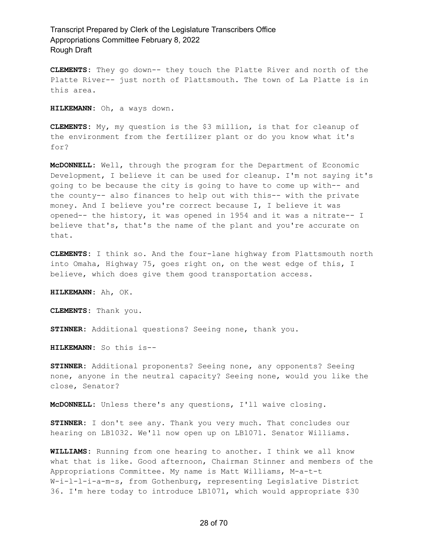**CLEMENTS:** They go down-- they touch the Platte River and north of the Platte River-- just north of Plattsmouth. The town of La Platte is in this area.

**HILKEMANN:** Oh, a ways down.

**CLEMENTS:** My, my question is the \$3 million, is that for cleanup of the environment from the fertilizer plant or do you know what it's for?

**McDONNELL:** Well, through the program for the Department of Economic Development, I believe it can be used for cleanup. I'm not saying it's going to be because the city is going to have to come up with-- and the county-- also finances to help out with this-- with the private money. And I believe you're correct because I, I believe it was opened-- the history, it was opened in 1954 and it was a nitrate-- I believe that's, that's the name of the plant and you're accurate on that.

**CLEMENTS:** I think so. And the four-lane highway from Plattsmouth north into Omaha, Highway 75, goes right on, on the west edge of this, I believe, which does give them good transportation access.

**HILKEMANN:** Ah, OK.

**CLEMENTS:** Thank you.

**STINNER:** Additional questions? Seeing none, thank you.

**HILKEMANN:** So this is--

**STINNER:** Additional proponents? Seeing none, any opponents? Seeing none, anyone in the neutral capacity? Seeing none, would you like the close, Senator?

**McDONNELL:** Unless there's any questions, I'll waive closing.

**STINNER:** I don't see any. Thank you very much. That concludes our hearing on LB1032. We'll now open up on LB1071. Senator Williams.

**WILLIAMS:** Running from one hearing to another. I think we all know what that is like. Good afternoon, Chairman Stinner and members of the Appropriations Committee. My name is Matt Williams, M-a-t-t W-i-l-l-i-a-m-s, from Gothenburg, representing Legislative District 36. I'm here today to introduce LB1071, which would appropriate \$30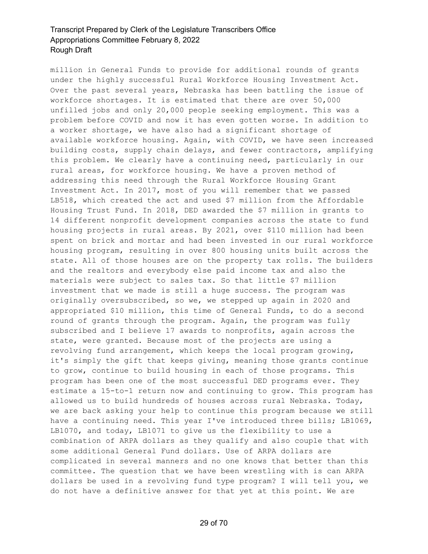million in General Funds to provide for additional rounds of grants under the highly successful Rural Workforce Housing Investment Act. Over the past several years, Nebraska has been battling the issue of workforce shortages. It is estimated that there are over 50,000 unfilled jobs and only 20,000 people seeking employment. This was a problem before COVID and now it has even gotten worse. In addition to a worker shortage, we have also had a significant shortage of available workforce housing. Again, with COVID, we have seen increased building costs, supply chain delays, and fewer contractors, amplifying this problem. We clearly have a continuing need, particularly in our rural areas, for workforce housing. We have a proven method of addressing this need through the Rural Workforce Housing Grant Investment Act. In 2017, most of you will remember that we passed LB518, which created the act and used \$7 million from the Affordable Housing Trust Fund. In 2018, DED awarded the \$7 million in grants to 14 different nonprofit development companies across the state to fund housing projects in rural areas. By 2021, over \$110 million had been spent on brick and mortar and had been invested in our rural workforce housing program, resulting in over 800 housing units built across the state. All of those houses are on the property tax rolls. The builders and the realtors and everybody else paid income tax and also the materials were subject to sales tax. So that little \$7 million investment that we made is still a huge success. The program was originally oversubscribed, so we, we stepped up again in 2020 and appropriated \$10 million, this time of General Funds, to do a second round of grants through the program. Again, the program was fully subscribed and I believe 17 awards to nonprofits, again across the state, were granted. Because most of the projects are using a revolving fund arrangement, which keeps the local program growing, it's simply the gift that keeps giving, meaning those grants continue to grow, continue to build housing in each of those programs. This program has been one of the most successful DED programs ever. They estimate a 15-to-1 return now and continuing to grow. This program has allowed us to build hundreds of houses across rural Nebraska. Today, we are back asking your help to continue this program because we still have a continuing need. This year I've introduced three bills; LB1069, LB1070, and today, LB1071 to give us the flexibility to use a combination of ARPA dollars as they qualify and also couple that with some additional General Fund dollars. Use of ARPA dollars are complicated in several manners and no one knows that better than this committee. The question that we have been wrestling with is can ARPA dollars be used in a revolving fund type program? I will tell you, we do not have a definitive answer for that yet at this point. We are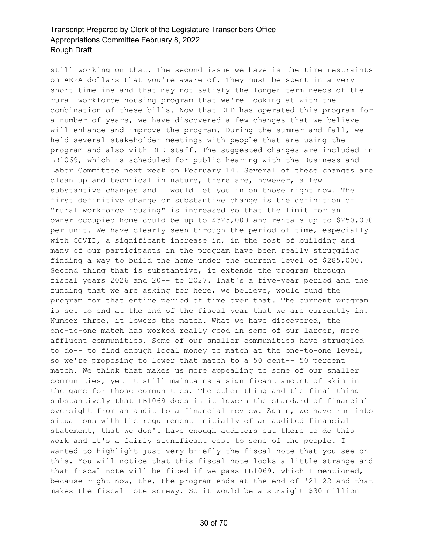still working on that. The second issue we have is the time restraints on ARPA dollars that you're aware of. They must be spent in a very short timeline and that may not satisfy the longer-term needs of the rural workforce housing program that we're looking at with the combination of these bills. Now that DED has operated this program for a number of years, we have discovered a few changes that we believe will enhance and improve the program. During the summer and fall, we held several stakeholder meetings with people that are using the program and also with DED staff. The suggested changes are included in LB1069, which is scheduled for public hearing with the Business and Labor Committee next week on February 14. Several of these changes are clean up and technical in nature, there are, however, a few substantive changes and I would let you in on those right now. The first definitive change or substantive change is the definition of "rural workforce housing" is increased so that the limit for an owner-occupied home could be up to \$325,000 and rentals up to \$250,000 per unit. We have clearly seen through the period of time, especially with COVID, a significant increase in, in the cost of building and many of our participants in the program have been really struggling finding a way to build the home under the current level of \$285,000. Second thing that is substantive, it extends the program through fiscal years 2026 and 20-- to 2027. That's a five-year period and the funding that we are asking for here, we believe, would fund the program for that entire period of time over that. The current program is set to end at the end of the fiscal year that we are currently in. Number three, it lowers the match. What we have discovered, the one-to-one match has worked really good in some of our larger, more affluent communities. Some of our smaller communities have struggled to do-- to find enough local money to match at the one-to-one level, so we're proposing to lower that match to a 50 cent-- 50 percent match. We think that makes us more appealing to some of our smaller communities, yet it still maintains a significant amount of skin in the game for those communities. The other thing and the final thing substantively that LB1069 does is it lowers the standard of financial oversight from an audit to a financial review. Again, we have run into situations with the requirement initially of an audited financial statement, that we don't have enough auditors out there to do this work and it's a fairly significant cost to some of the people. I wanted to highlight just very briefly the fiscal note that you see on this. You will notice that this fiscal note looks a little strange and that fiscal note will be fixed if we pass LB1069, which I mentioned, because right now, the, the program ends at the end of '21-22 and that makes the fiscal note screwy. So it would be a straight \$30 million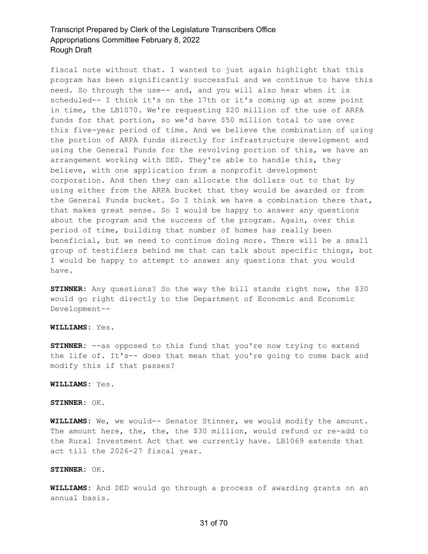fiscal note without that. I wanted to just again highlight that this program has been significantly successful and we continue to have this need. So through the use-- and, and you will also hear when it is scheduled-- I think it's on the 17th or it's coming up at some point in time, the LB1070. We're requesting \$20 million of the use of ARPA funds for that portion, so we'd have \$50 million total to use over this five-year period of time. And we believe the combination of using the portion of ARPA funds directly for infrastructure development and using the General Funds for the revolving portion of this, we have an arrangement working with DED. They're able to handle this, they believe, with one application from a nonprofit development corporation. And then they can allocate the dollars out to that by using either from the ARPA bucket that they would be awarded or from the General Funds bucket. So I think we have a combination there that, that makes great sense. So I would be happy to answer any questions about the program and the success of the program. Again, over this period of time, building that number of homes has really been beneficial, but we need to continue doing more. There will be a small group of testifiers behind me that can talk about specific things, but I would be happy to attempt to answer any questions that you would have.

**STINNER:** Any questions? So the way the bill stands right now, the \$30 would go right directly to the Department of Economic and Economic Development--

#### **WILLIAMS:** Yes.

**STINNER:** --as opposed to this fund that you're now trying to extend the life of. It's-- does that mean that you're going to come back and modify this if that passes?

#### **WILLIAMS:** Yes.

#### **STINNER:** OK.

**WILLIAMS:** We, we would-- Senator Stinner, we would modify the amount. The amount here, the, the, the \$30 million, would refund or re-add to the Rural Investment Act that we currently have. LB1069 extends that act till the 2026-27 fiscal year.

#### **STINNER:** OK.

**WILLIAMS:** And DED would go through a process of awarding grants on an annual basis.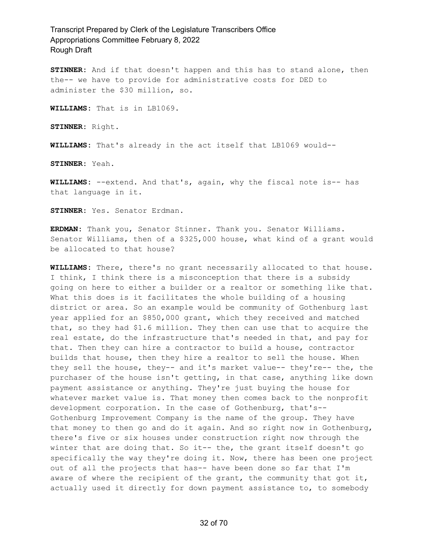**STINNER:** And if that doesn't happen and this has to stand alone, then the-- we have to provide for administrative costs for DED to administer the \$30 million, so.

**WILLIAMS:** That is in LB1069.

**STINNER:** Right.

**WILLIAMS:** That's already in the act itself that LB1069 would--

**STINNER:** Yeah.

**WILLIAMS:** --extend. And that's, again, why the fiscal note is-- has that language in it.

**STINNER:** Yes. Senator Erdman.

**ERDMAN:** Thank you, Senator Stinner. Thank you. Senator Williams. Senator Williams, then of a \$325,000 house, what kind of a grant would be allocated to that house?

**WILLIAMS:** There, there's no grant necessarily allocated to that house. I think, I think there is a misconception that there is a subsidy going on here to either a builder or a realtor or something like that. What this does is it facilitates the whole building of a housing district or area. So an example would be community of Gothenburg last year applied for an \$850,000 grant, which they received and matched that, so they had \$1.6 million. They then can use that to acquire the real estate, do the infrastructure that's needed in that, and pay for that. Then they can hire a contractor to build a house, contractor builds that house, then they hire a realtor to sell the house. When they sell the house, they-- and it's market value-- they're-- the, the purchaser of the house isn't getting, in that case, anything like down payment assistance or anything. They're just buying the house for whatever market value is. That money then comes back to the nonprofit development corporation. In the case of Gothenburg, that's-- Gothenburg Improvement Company is the name of the group. They have that money to then go and do it again. And so right now in Gothenburg, there's five or six houses under construction right now through the winter that are doing that. So it-- the, the grant itself doesn't go specifically the way they're doing it. Now, there has been one project out of all the projects that has-- have been done so far that I'm aware of where the recipient of the grant, the community that got it, actually used it directly for down payment assistance to, to somebody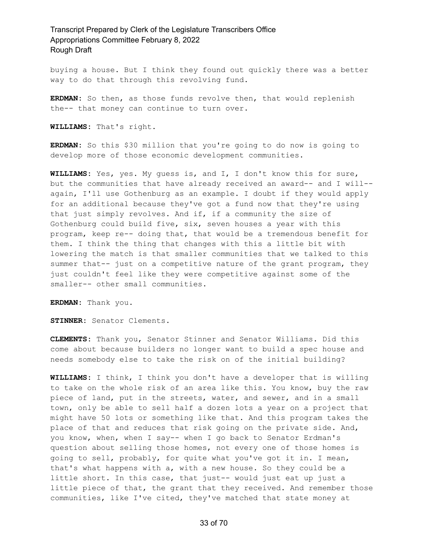buying a house. But I think they found out quickly there was a better way to do that through this revolving fund.

**ERDMAN:** So then, as those funds revolve then, that would replenish the-- that money can continue to turn over.

**WILLIAMS:** That's right.

**ERDMAN:** So this \$30 million that you're going to do now is going to develop more of those economic development communities.

**WILLIAMS:** Yes, yes. My guess is, and I, I don't know this for sure, but the communities that have already received an award-- and I will- again, I'll use Gothenburg as an example. I doubt if they would apply for an additional because they've got a fund now that they're using that just simply revolves. And if, if a community the size of Gothenburg could build five, six, seven houses a year with this program, keep re-- doing that, that would be a tremendous benefit for them. I think the thing that changes with this a little bit with lowering the match is that smaller communities that we talked to this summer that-- just on a competitive nature of the grant program, they just couldn't feel like they were competitive against some of the smaller-- other small communities.

**ERDMAN:** Thank you.

**STINNER:** Senator Clements.

**CLEMENTS:** Thank you, Senator Stinner and Senator Williams. Did this come about because builders no longer want to build a spec house and needs somebody else to take the risk on of the initial building?

**WILLIAMS:** I think, I think you don't have a developer that is willing to take on the whole risk of an area like this. You know, buy the raw piece of land, put in the streets, water, and sewer, and in a small town, only be able to sell half a dozen lots a year on a project that might have 50 lots or something like that. And this program takes the place of that and reduces that risk going on the private side. And, you know, when, when I say-- when I go back to Senator Erdman's question about selling those homes, not every one of those homes is going to sell, probably, for quite what you've got it in. I mean, that's what happens with a, with a new house. So they could be a little short. In this case, that just-- would just eat up just a little piece of that, the grant that they received. And remember those communities, like I've cited, they've matched that state money at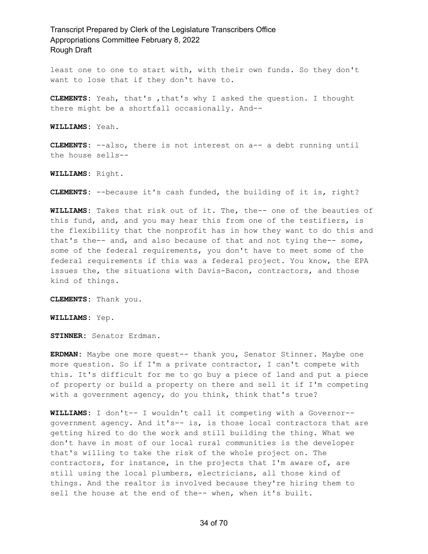least one to one to start with, with their own funds. So they don't want to lose that if they don't have to.

**CLEMENTS:** Yeah, that's ,that's why I asked the question. I thought there might be a shortfall occasionally. And--

**WILLIAMS:** Yeah.

**CLEMENTS:** --also, there is not interest on a-- a debt running until the house sells--

**WILLIAMS:** Right.

**CLEMENTS:** --because it's cash funded, the building of it is, right?

**WILLIAMS:** Takes that risk out of it. The, the-- one of the beauties of this fund, and, and you may hear this from one of the testifiers, is the flexibility that the nonprofit has in how they want to do this and that's the-- and, and also because of that and not tying the-- some, some of the federal requirements, you don't have to meet some of the federal requirements if this was a federal project. You know, the EPA issues the, the situations with Davis-Bacon, contractors, and those kind of things.

**CLEMENTS:** Thank you.

**WILLIAMS:** Yep.

**STINNER:** Senator Erdman.

**ERDMAN:** Maybe one more quest-- thank you, Senator Stinner. Maybe one more question. So if I'm a private contractor, I can't compete with this. It's difficult for me to go buy a piece of land and put a piece of property or build a property on there and sell it if I'm competing with a government agency, do you think, think that's true?

**WILLIAMS:** I don't-- I wouldn't call it competing with a Governor- government agency. And it's-- is, is those local contractors that are getting hired to do the work and still building the thing. What we don't have in most of our local rural communities is the developer that's willing to take the risk of the whole project on. The contractors, for instance, in the projects that I'm aware of, are still using the local plumbers, electricians, all those kind of things. And the realtor is involved because they're hiring them to sell the house at the end of the-- when, when it's built.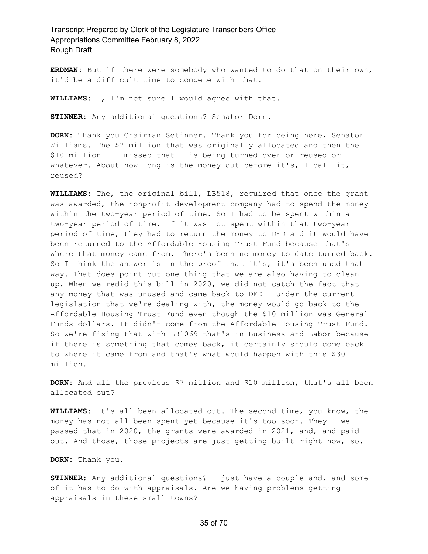**ERDMAN:** But if there were somebody who wanted to do that on their own, it'd be a difficult time to compete with that.

**WILLIAMS:** I, I'm not sure I would agree with that.

**STINNER:** Any additional questions? Senator Dorn.

**DORN:** Thank you Chairman Setinner. Thank you for being here, Senator Williams. The \$7 million that was originally allocated and then the \$10 million-- I missed that-- is being turned over or reused or whatever. About how long is the money out before it's, I call it, reused?

**WILLIAMS:** The, the original bill, LB518, required that once the grant was awarded, the nonprofit development company had to spend the money within the two-year period of time. So I had to be spent within a two-year period of time. If it was not spent within that two-year period of time, they had to return the money to DED and it would have been returned to the Affordable Housing Trust Fund because that's where that money came from. There's been no money to date turned back. So I think the answer is in the proof that it's, it's been used that way. That does point out one thing that we are also having to clean up. When we redid this bill in 2020, we did not catch the fact that any money that was unused and came back to DED-- under the current legislation that we're dealing with, the money would go back to the Affordable Housing Trust Fund even though the \$10 million was General Funds dollars. It didn't come from the Affordable Housing Trust Fund. So we're fixing that with LB1069 that's in Business and Labor because if there is something that comes back, it certainly should come back to where it came from and that's what would happen with this \$30 million.

**DORN:** And all the previous \$7 million and \$10 million, that's all been allocated out?

**WILLIAMS:** It's all been allocated out. The second time, you know, the money has not all been spent yet because it's too soon. They-- we passed that in 2020, the grants were awarded in 2021, and, and paid out. And those, those projects are just getting built right now, so.

**DORN:** Thank you.

**STINNER:** Any additional questions? I just have a couple and, and some of it has to do with appraisals. Are we having problems getting appraisals in these small towns?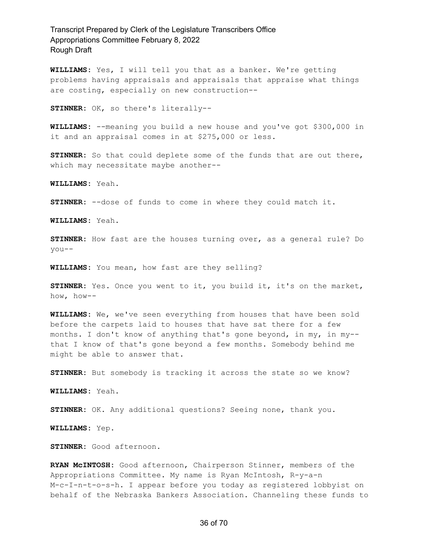**WILLIAMS:** Yes, I will tell you that as a banker. We're getting problems having appraisals and appraisals that appraise what things are costing, especially on new construction--

**STINNER:** OK, so there's literally--

**WILLIAMS:** --meaning you build a new house and you've got \$300,000 in it and an appraisal comes in at \$275,000 or less.

**STINNER:** So that could deplete some of the funds that are out there, which may necessitate maybe another--

**WILLIAMS:** Yeah.

**STINNER:** --dose of funds to come in where they could match it.

**WILLIAMS:** Yeah.

**STINNER:** How fast are the houses turning over, as a general rule? Do you--

**WILLIAMS:** You mean, how fast are they selling?

**STINNER:** Yes. Once you went to it, you build it, it's on the market, how, how--

**WILLIAMS:** We, we've seen everything from houses that have been sold before the carpets laid to houses that have sat there for a few months. I don't know of anything that's gone beyond, in my, in my- that I know of that's gone beyond a few months. Somebody behind me might be able to answer that.

**STINNER:** But somebody is tracking it across the state so we know?

**WILLIAMS:** Yeah.

**STINNER:** OK. Any additional questions? Seeing none, thank you.

**WILLIAMS:** Yep.

**STINNER:** Good afternoon.

**RYAN McINTOSH:** Good afternoon, Chairperson Stinner, members of the Appropriations Committee. My name is Ryan McIntosh, R-y-a-n M-c-I-n-t-o-s-h. I appear before you today as registered lobbyist on behalf of the Nebraska Bankers Association. Channeling these funds to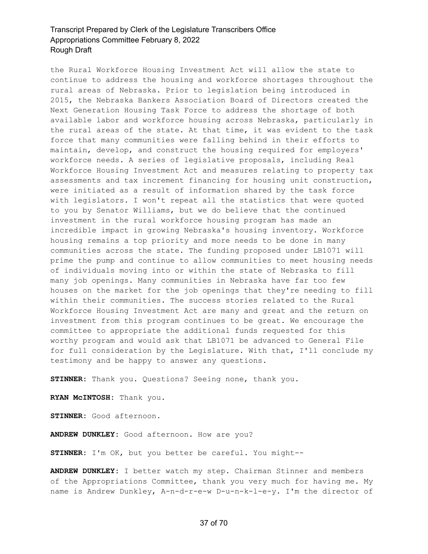the Rural Workforce Housing Investment Act will allow the state to continue to address the housing and workforce shortages throughout the rural areas of Nebraska. Prior to legislation being introduced in 2015, the Nebraska Bankers Association Board of Directors created the Next Generation Housing Task Force to address the shortage of both available labor and workforce housing across Nebraska, particularly in the rural areas of the state. At that time, it was evident to the task force that many communities were falling behind in their efforts to maintain, develop, and construct the housing required for employers' workforce needs. A series of legislative proposals, including Real Workforce Housing Investment Act and measures relating to property tax assessments and tax increment financing for housing unit construction, were initiated as a result of information shared by the task force with legislators. I won't repeat all the statistics that were quoted to you by Senator Williams, but we do believe that the continued investment in the rural workforce housing program has made an incredible impact in growing Nebraska's housing inventory. Workforce housing remains a top priority and more needs to be done in many communities across the state. The funding proposed under LB1071 will prime the pump and continue to allow communities to meet housing needs of individuals moving into or within the state of Nebraska to fill many job openings. Many communities in Nebraska have far too few houses on the market for the job openings that they're needing to fill within their communities. The success stories related to the Rural Workforce Housing Investment Act are many and great and the return on investment from this program continues to be great. We encourage the committee to appropriate the additional funds requested for this worthy program and would ask that LB1071 be advanced to General File for full consideration by the Legislature. With that, I'll conclude my testimony and be happy to answer any questions.

**STINNER:** Thank you. Questions? Seeing none, thank you.

**RYAN McINTOSH:** Thank you.

**STINNER:** Good afternoon.

**ANDREW DUNKLEY:** Good afternoon. How are you?

**STINNER:** I'm OK, but you better be careful. You might--

**ANDREW DUNKLEY:** I better watch my step. Chairman Stinner and members of the Appropriations Committee, thank you very much for having me. My name is Andrew Dunkley, A-n-d-r-e-w D-u-n-k-l-e-y. I'm the director of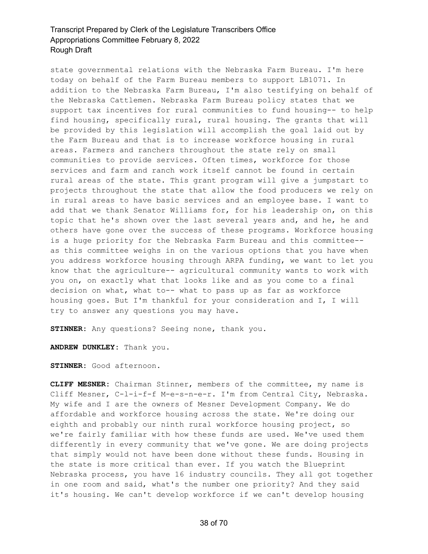state governmental relations with the Nebraska Farm Bureau. I'm here today on behalf of the Farm Bureau members to support LB1071. In addition to the Nebraska Farm Bureau, I'm also testifying on behalf of the Nebraska Cattlemen. Nebraska Farm Bureau policy states that we support tax incentives for rural communities to fund housing-- to help find housing, specifically rural, rural housing. The grants that will be provided by this legislation will accomplish the goal laid out by the Farm Bureau and that is to increase workforce housing in rural areas. Farmers and ranchers throughout the state rely on small communities to provide services. Often times, workforce for those services and farm and ranch work itself cannot be found in certain rural areas of the state. This grant program will give a jumpstart to projects throughout the state that allow the food producers we rely on in rural areas to have basic services and an employee base. I want to add that we thank Senator Williams for, for his leadership on, on this topic that he's shown over the last several years and, and he, he and others have gone over the success of these programs. Workforce housing is a huge priority for the Nebraska Farm Bureau and this committee- as this committee weighs in on the various options that you have when you address workforce housing through ARPA funding, we want to let you know that the agriculture-- agricultural community wants to work with you on, on exactly what that looks like and as you come to a final decision on what, what to-- what to pass up as far as workforce housing goes. But I'm thankful for your consideration and I, I will try to answer any questions you may have.

**STINNER:** Any questions? Seeing none, thank you.

**ANDREW DUNKLEY:** Thank you.

**STINNER:** Good afternoon.

**CLIFF MESNER:** Chairman Stinner, members of the committee, my name is Cliff Mesner, C-l-i-f-f M-e-s-n-e-r. I'm from Central City, Nebraska. My wife and I are the owners of Mesner Development Company. We do affordable and workforce housing across the state. We're doing our eighth and probably our ninth rural workforce housing project, so we're fairly familiar with how these funds are used. We've used them differently in every community that we've gone. We are doing projects that simply would not have been done without these funds. Housing in the state is more critical than ever. If you watch the Blueprint Nebraska process, you have 16 industry councils. They all got together in one room and said, what's the number one priority? And they said it's housing. We can't develop workforce if we can't develop housing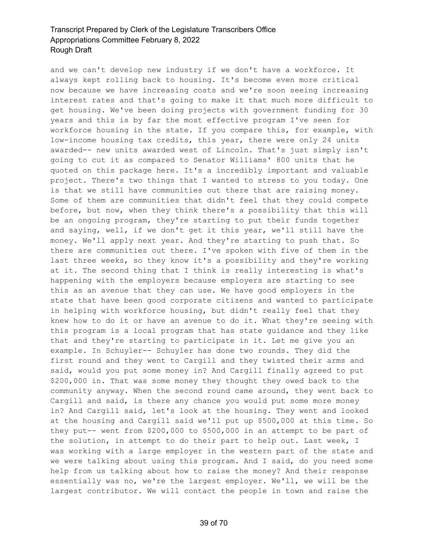and we can't develop new industry if we don't have a workforce. It always kept rolling back to housing. It's become even more critical now because we have increasing costs and we're soon seeing increasing interest rates and that's going to make it that much more difficult to get housing. We've been doing projects with government funding for 30 years and this is by far the most effective program I've seen for workforce housing in the state. If you compare this, for example, with low-income housing tax credits, this year, there were only 24 units awarded-- new units awarded west of Lincoln. That's just simply isn't going to cut it as compared to Senator Williams' 800 units that he quoted on this package here. It's a incredibly important and valuable project. There's two things that I wanted to stress to you today. One is that we still have communities out there that are raising money. Some of them are communities that didn't feel that they could compete before, but now, when they think there's a possibility that this will be an ongoing program, they're starting to put their funds together and saying, well, if we don't get it this year, we'll still have the money. We'll apply next year. And they're starting to push that. So there are communities out there. I've spoken with five of them in the last three weeks, so they know it's a possibility and they're working at it. The second thing that I think is really interesting is what's happening with the employers because employers are starting to see this as an avenue that they can use. We have good employers in the state that have been good corporate citizens and wanted to participate in helping with workforce housing, but didn't really feel that they knew how to do it or have an avenue to do it. What they're seeing with this program is a local program that has state guidance and they like that and they're starting to participate in it. Let me give you an example. In Schuyler-- Schuyler has done two rounds. They did the first round and they went to Cargill and they twisted their arms and said, would you put some money in? And Cargill finally agreed to put \$200,000 in. That was some money they thought they owed back to the community anyway. When the second round came around, they went back to Cargill and said, is there any chance you would put some more money in? And Cargill said, let's look at the housing. They went and looked at the housing and Cargill said we'll put up \$500,000 at this time. So they put-- went from \$200,000 to \$500,000 in an attempt to be part of the solution, in attempt to do their part to help out. Last week, I was working with a large employer in the western part of the state and we were talking about using this program. And I said, do you need some help from us talking about how to raise the money? And their response essentially was no, we're the largest employer. We'll, we will be the largest contributor. We will contact the people in town and raise the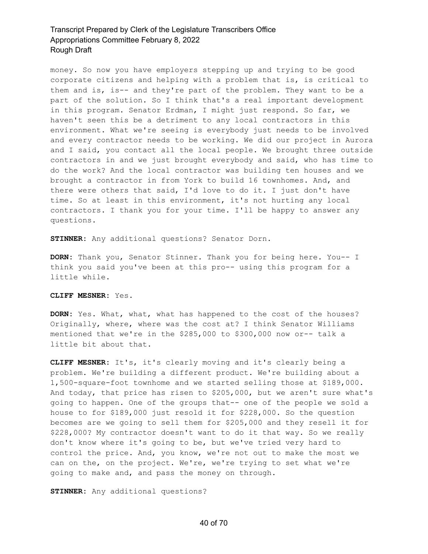money. So now you have employers stepping up and trying to be good corporate citizens and helping with a problem that is, is critical to them and is, is-- and they're part of the problem. They want to be a part of the solution. So I think that's a real important development in this program. Senator Erdman, I might just respond. So far, we haven't seen this be a detriment to any local contractors in this environment. What we're seeing is everybody just needs to be involved and every contractor needs to be working. We did our project in Aurora and I said, you contact all the local people. We brought three outside contractors in and we just brought everybody and said, who has time to do the work? And the local contractor was building ten houses and we brought a contractor in from York to build 16 townhomes. And, and there were others that said, I'd love to do it. I just don't have time. So at least in this environment, it's not hurting any local contractors. I thank you for your time. I'll be happy to answer any questions.

**STINNER:** Any additional questions? Senator Dorn.

**DORN:** Thank you, Senator Stinner. Thank you for being here. You-- I think you said you've been at this pro-- using this program for a little while.

#### **CLIFF MESNER:** Yes.

**DORN:** Yes. What, what, what has happened to the cost of the houses? Originally, where, where was the cost at? I think Senator Williams mentioned that we're in the \$285,000 to \$300,000 now or-- talk a little bit about that.

**CLIFF MESNER:** It's, it's clearly moving and it's clearly being a problem. We're building a different product. We're building about a 1,500-square-foot townhome and we started selling those at \$189,000. And today, that price has risen to \$205,000, but we aren't sure what's going to happen. One of the groups that-- one of the people we sold a house to for \$189,000 just resold it for \$228,000. So the question becomes are we going to sell them for \$205,000 and they resell it for \$228,000? My contractor doesn't want to do it that way. So we really don't know where it's going to be, but we've tried very hard to control the price. And, you know, we're not out to make the most we can on the, on the project. We're, we're trying to set what we're going to make and, and pass the money on through.

**STINNER:** Any additional questions?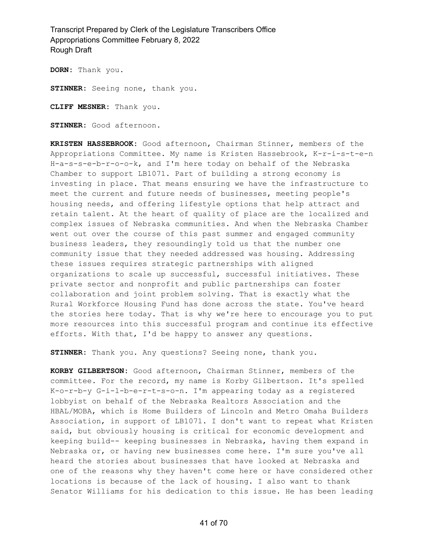**DORN:** Thank you.

**STINNER:** Seeing none, thank you.

**CLIFF MESNER:** Thank you.

**STINNER:** Good afternoon.

**KRISTEN HASSEBROOK:** Good afternoon, Chairman Stinner, members of the Appropriations Committee. My name is Kristen Hassebrook, K-r-i-s-t-e-n H-a-s-s-e-b-r-o-o-k, and I'm here today on behalf of the Nebraska Chamber to support LB1071. Part of building a strong economy is investing in place. That means ensuring we have the infrastructure to meet the current and future needs of businesses, meeting people's housing needs, and offering lifestyle options that help attract and retain talent. At the heart of quality of place are the localized and complex issues of Nebraska communities. And when the Nebraska Chamber went out over the course of this past summer and engaged community business leaders, they resoundingly told us that the number one community issue that they needed addressed was housing. Addressing these issues requires strategic partnerships with aligned organizations to scale up successful, successful initiatives. These private sector and nonprofit and public partnerships can foster collaboration and joint problem solving. That is exactly what the Rural Workforce Housing Fund has done across the state. You've heard the stories here today. That is why we're here to encourage you to put more resources into this successful program and continue its effective efforts. With that, I'd be happy to answer any questions.

**STINNER:** Thank you. Any questions? Seeing none, thank you.

**KORBY GILBERTSON:** Good afternoon, Chairman Stinner, members of the committee. For the record, my name is Korby Gilbertson. It's spelled K-o-r-b-y G-i-l-b-e-r-t-s-o-n. I'm appearing today as a registered lobbyist on behalf of the Nebraska Realtors Association and the HBAL/MOBA, which is Home Builders of Lincoln and Metro Omaha Builders Association, in support of LB1071. I don't want to repeat what Kristen said, but obviously housing is critical for economic development and keeping build-- keeping businesses in Nebraska, having them expand in Nebraska or, or having new businesses come here. I'm sure you've all heard the stories about businesses that have looked at Nebraska and one of the reasons why they haven't come here or have considered other locations is because of the lack of housing. I also want to thank Senator Williams for his dedication to this issue. He has been leading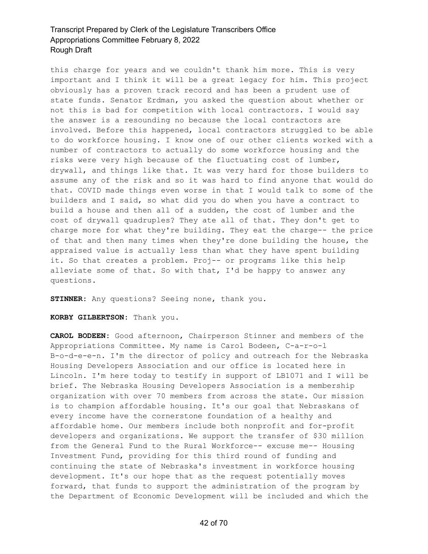this charge for years and we couldn't thank him more. This is very important and I think it will be a great legacy for him. This project obviously has a proven track record and has been a prudent use of state funds. Senator Erdman, you asked the question about whether or not this is bad for competition with local contractors. I would say the answer is a resounding no because the local contractors are involved. Before this happened, local contractors struggled to be able to do workforce housing. I know one of our other clients worked with a number of contractors to actually do some workforce housing and the risks were very high because of the fluctuating cost of lumber, drywall, and things like that. It was very hard for those builders to assume any of the risk and so it was hard to find anyone that would do that. COVID made things even worse in that I would talk to some of the builders and I said, so what did you do when you have a contract to build a house and then all of a sudden, the cost of lumber and the cost of drywall quadruples? They ate all of that. They don't get to charge more for what they're building. They eat the charge-- the price of that and then many times when they're done building the house, the appraised value is actually less than what they have spent building it. So that creates a problem. Proj-- or programs like this help alleviate some of that. So with that, I'd be happy to answer any questions.

**STINNER:** Any questions? Seeing none, thank you.

**KORBY GILBERTSON:** Thank you.

**CAROL BODEEN:** Good afternoon, Chairperson Stinner and members of the Appropriations Committee. My name is Carol Bodeen, C-a-r-o-l B-o-d-e-e-n. I'm the director of policy and outreach for the Nebraska Housing Developers Association and our office is located here in Lincoln. I'm here today to testify in support of LB1071 and I will be brief. The Nebraska Housing Developers Association is a membership organization with over 70 members from across the state. Our mission is to champion affordable housing. It's our goal that Nebraskans of every income have the cornerstone foundation of a healthy and affordable home. Our members include both nonprofit and for-profit developers and organizations. We support the transfer of \$30 million from the General Fund to the Rural Workforce-- excuse me-- Housing Investment Fund, providing for this third round of funding and continuing the state of Nebraska's investment in workforce housing development. It's our hope that as the request potentially moves forward, that funds to support the administration of the program by the Department of Economic Development will be included and which the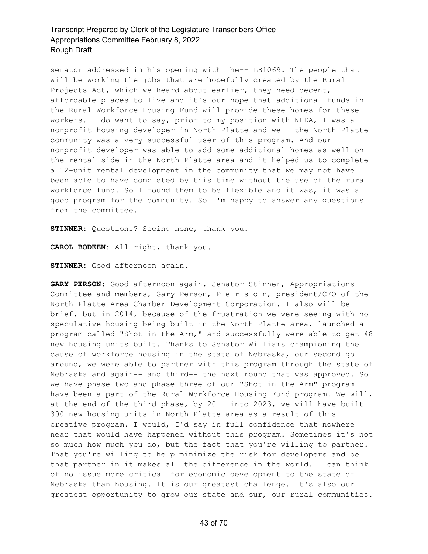senator addressed in his opening with the-- LB1069. The people that will be working the jobs that are hopefully created by the Rural Projects Act, which we heard about earlier, they need decent, affordable places to live and it's our hope that additional funds in the Rural Workforce Housing Fund will provide these homes for these workers. I do want to say, prior to my position with NHDA, I was a nonprofit housing developer in North Platte and we-- the North Platte community was a very successful user of this program. And our nonprofit developer was able to add some additional homes as well on the rental side in the North Platte area and it helped us to complete a 12-unit rental development in the community that we may not have been able to have completed by this time without the use of the rural workforce fund. So I found them to be flexible and it was, it was a good program for the community. So I'm happy to answer any questions from the committee.

**STINNER:** Questions? Seeing none, thank you.

**CAROL BODEEN:** All right, thank you.

**STINNER:** Good afternoon again.

**GARY PERSON:** Good afternoon again. Senator Stinner, Appropriations Committee and members, Gary Person, P-e-r-s-o-n, president/CEO of the North Platte Area Chamber Development Corporation. I also will be brief, but in 2014, because of the frustration we were seeing with no speculative housing being built in the North Platte area, launched a program called "Shot in the Arm," and successfully were able to get 48 new housing units built. Thanks to Senator Williams championing the cause of workforce housing in the state of Nebraska, our second go around, we were able to partner with this program through the state of Nebraska and again-- and third-- the next round that was approved. So we have phase two and phase three of our "Shot in the Arm" program have been a part of the Rural Workforce Housing Fund program. We will, at the end of the third phase, by 20-- into 2023, we will have built 300 new housing units in North Platte area as a result of this creative program. I would, I'd say in full confidence that nowhere near that would have happened without this program. Sometimes it's not so much how much you do, but the fact that you're willing to partner. That you're willing to help minimize the risk for developers and be that partner in it makes all the difference in the world. I can think of no issue more critical for economic development to the state of Nebraska than housing. It is our greatest challenge. It's also our greatest opportunity to grow our state and our, our rural communities.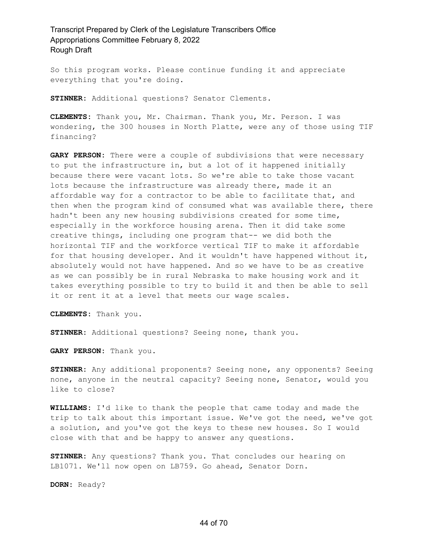So this program works. Please continue funding it and appreciate everything that you're doing.

**STINNER:** Additional questions? Senator Clements.

**CLEMENTS:** Thank you, Mr. Chairman. Thank you, Mr. Person. I was wondering, the 300 houses in North Platte, were any of those using TIF financing?

**GARY PERSON:** There were a couple of subdivisions that were necessary to put the infrastructure in, but a lot of it happened initially because there were vacant lots. So we're able to take those vacant lots because the infrastructure was already there, made it an affordable way for a contractor to be able to facilitate that, and then when the program kind of consumed what was available there, there hadn't been any new housing subdivisions created for some time, especially in the workforce housing arena. Then it did take some creative things, including one program that-- we did both the horizontal TIF and the workforce vertical TIF to make it affordable for that housing developer. And it wouldn't have happened without it, absolutely would not have happened. And so we have to be as creative as we can possibly be in rural Nebraska to make housing work and it takes everything possible to try to build it and then be able to sell it or rent it at a level that meets our wage scales.

**CLEMENTS:** Thank you.

**STINNER:** Additional questions? Seeing none, thank you.

**GARY PERSON:** Thank you.

**STINNER:** Any additional proponents? Seeing none, any opponents? Seeing none, anyone in the neutral capacity? Seeing none, Senator, would you like to close?

**WILLIAMS:** I'd like to thank the people that came today and made the trip to talk about this important issue. We've got the need, we've got a solution, and you've got the keys to these new houses. So I would close with that and be happy to answer any questions.

**STINNER:** Any questions? Thank you. That concludes our hearing on LB1071. We'll now open on LB759. Go ahead, Senator Dorn.

**DORN:** Ready?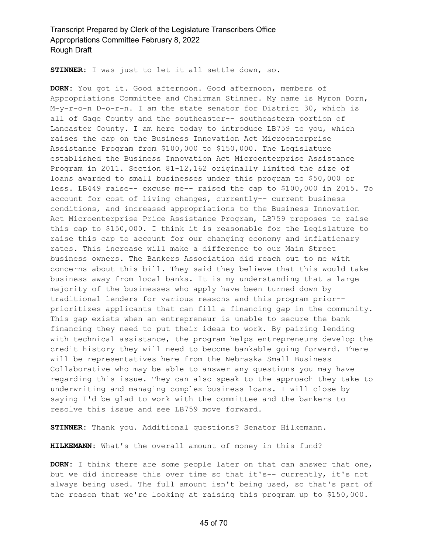**STINNER:** I was just to let it all settle down, so.

**DORN:** You got it. Good afternoon. Good afternoon, members of Appropriations Committee and Chairman Stinner. My name is Myron Dorn, M-y-r-o-n D-o-r-n. I am the state senator for District 30, which is all of Gage County and the southeaster-- southeastern portion of Lancaster County. I am here today to introduce LB759 to you, which raises the cap on the Business Innovation Act Microenterprise Assistance Program from \$100,000 to \$150,000. The Legislature established the Business Innovation Act Microenterprise Assistance Program in 2011. Section 81-12,162 originally limited the size of loans awarded to small businesses under this program to \$50,000 or less. LB449 raise-- excuse me-- raised the cap to \$100,000 in 2015. To account for cost of living changes, currently-- current business conditions, and increased appropriations to the Business Innovation Act Microenterprise Price Assistance Program, LB759 proposes to raise this cap to \$150,000. I think it is reasonable for the Legislature to raise this cap to account for our changing economy and inflationary rates. This increase will make a difference to our Main Street business owners. The Bankers Association did reach out to me with concerns about this bill. They said they believe that this would take business away from local banks. It is my understanding that a large majority of the businesses who apply have been turned down by traditional lenders for various reasons and this program prior- prioritizes applicants that can fill a financing gap in the community. This gap exists when an entrepreneur is unable to secure the bank financing they need to put their ideas to work. By pairing lending with technical assistance, the program helps entrepreneurs develop the credit history they will need to become bankable going forward. There will be representatives here from the Nebraska Small Business Collaborative who may be able to answer any questions you may have regarding this issue. They can also speak to the approach they take to underwriting and managing complex business loans. I will close by saying I'd be glad to work with the committee and the bankers to resolve this issue and see LB759 move forward.

**STINNER:** Thank you. Additional questions? Senator Hilkemann.

**HILKEMANN:** What's the overall amount of money in this fund?

**DORN:** I think there are some people later on that can answer that one, but we did increase this over time so that it's-- currently, it's not always being used. The full amount isn't being used, so that's part of the reason that we're looking at raising this program up to \$150,000.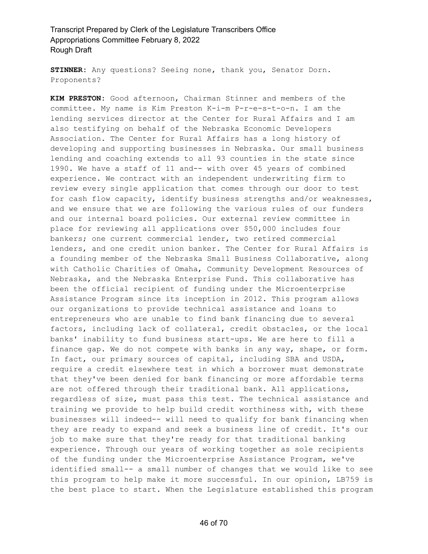**STINNER:** Any questions? Seeing none, thank you, Senator Dorn. Proponents?

**KIM PRESTON:** Good afternoon, Chairman Stinner and members of the committee. My name is Kim Preston K-i-m P-r-e-s-t-o-n. I am the lending services director at the Center for Rural Affairs and I am also testifying on behalf of the Nebraska Economic Developers Association. The Center for Rural Affairs has a long history of developing and supporting businesses in Nebraska. Our small business lending and coaching extends to all 93 counties in the state since 1990. We have a staff of 11 and-- with over 45 years of combined experience. We contract with an independent underwriting firm to review every single application that comes through our door to test for cash flow capacity, identify business strengths and/or weaknesses, and we ensure that we are following the various rules of our funders and our internal board policies. Our external review committee in place for reviewing all applications over \$50,000 includes four bankers; one current commercial lender, two retired commercial lenders, and one credit union banker. The Center for Rural Affairs is a founding member of the Nebraska Small Business Collaborative, along with Catholic Charities of Omaha, Community Development Resources of Nebraska, and the Nebraska Enterprise Fund. This collaborative has been the official recipient of funding under the Microenterprise Assistance Program since its inception in 2012. This program allows our organizations to provide technical assistance and loans to entrepreneurs who are unable to find bank financing due to several factors, including lack of collateral, credit obstacles, or the local banks' inability to fund business start-ups. We are here to fill a finance gap. We do not compete with banks in any way, shape, or form. In fact, our primary sources of capital, including SBA and USDA, require a credit elsewhere test in which a borrower must demonstrate that they've been denied for bank financing or more affordable terms are not offered through their traditional bank. All applications, regardless of size, must pass this test. The technical assistance and training we provide to help build credit worthiness with, with these businesses will indeed-- will need to qualify for bank financing when they are ready to expand and seek a business line of credit. It's our job to make sure that they're ready for that traditional banking experience. Through our years of working together as sole recipients of the funding under the Microenterprise Assistance Program, we've identified small-- a small number of changes that we would like to see this program to help make it more successful. In our opinion, LB759 is the best place to start. When the Legislature established this program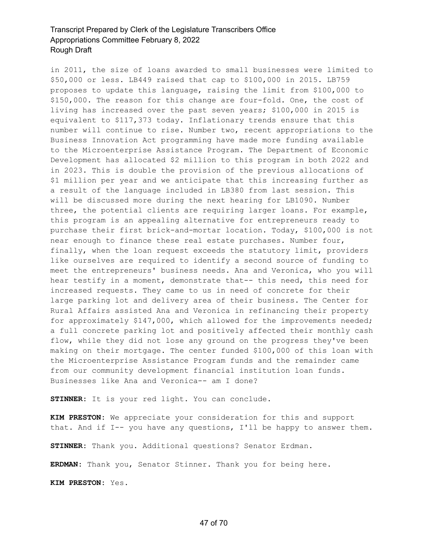in 2011, the size of loans awarded to small businesses were limited to \$50,000 or less. LB449 raised that cap to \$100,000 in 2015. LB759 proposes to update this language, raising the limit from \$100,000 to \$150,000. The reason for this change are four-fold. One, the cost of living has increased over the past seven years; \$100,000 in 2015 is equivalent to \$117,373 today. Inflationary trends ensure that this number will continue to rise. Number two, recent appropriations to the Business Innovation Act programming have made more funding available to the Microenterprise Assistance Program. The Department of Economic Development has allocated \$2 million to this program in both 2022 and in 2023. This is double the provision of the previous allocations of \$1 million per year and we anticipate that this increasing further as a result of the language included in LB380 from last session. This will be discussed more during the next hearing for LB1090. Number three, the potential clients are requiring larger loans. For example, this program is an appealing alternative for entrepreneurs ready to purchase their first brick-and-mortar location. Today, \$100,000 is not near enough to finance these real estate purchases. Number four, finally, when the loan request exceeds the statutory limit, providers like ourselves are required to identify a second source of funding to meet the entrepreneurs' business needs. Ana and Veronica, who you will hear testify in a moment, demonstrate that-- this need, this need for increased requests. They came to us in need of concrete for their large parking lot and delivery area of their business. The Center for Rural Affairs assisted Ana and Veronica in refinancing their property for approximately \$147,000, which allowed for the improvements needed; a full concrete parking lot and positively affected their monthly cash flow, while they did not lose any ground on the progress they've been making on their mortgage. The center funded \$100,000 of this loan with the Microenterprise Assistance Program funds and the remainder came from our community development financial institution loan funds. Businesses like Ana and Veronica-- am I done?

**STINNER:** It is your red light. You can conclude.

**KIM PRESTON:** We appreciate your consideration for this and support that. And if I-- you have any questions, I'll be happy to answer them.

**STINNER:** Thank you. Additional questions? Senator Erdman.

**ERDMAN:** Thank you, Senator Stinner. Thank you for being here.

**KIM PRESTON:** Yes.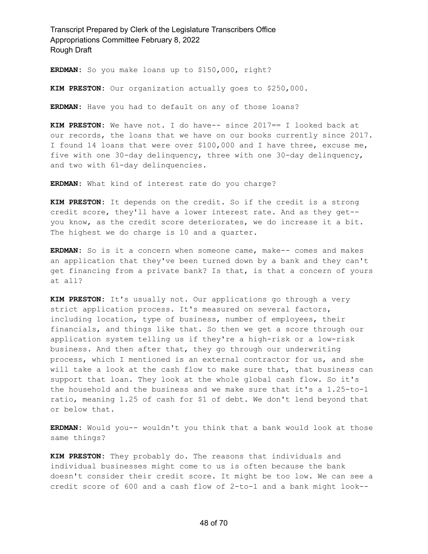**ERDMAN:** So you make loans up to \$150,000, right?

**KIM PRESTON:** Our organization actually goes to \$250,000.

**ERDMAN:** Have you had to default on any of those loans?

**KIM PRESTON:** We have not. I do have-- since 2017== I looked back at our records, the loans that we have on our books currently since 2017. I found 14 loans that were over \$100,000 and I have three, excuse me, five with one 30-day delinquency, three with one 30-day delinquency, and two with 61-day delinquencies.

**ERDMAN:** What kind of interest rate do you charge?

**KIM PRESTON:** It depends on the credit. So if the credit is a strong credit score, they'll have a lower interest rate. And as they get- you know, as the credit score deteriorates, we do increase it a bit. The highest we do charge is 10 and a quarter.

**ERDMAN:** So is it a concern when someone came, make-- comes and makes an application that they've been turned down by a bank and they can't get financing from a private bank? Is that, is that a concern of yours at all?

**KIM PRESTON:** It's usually not. Our applications go through a very strict application process. It's measured on several factors, including location, type of business, number of employees, their financials, and things like that. So then we get a score through our application system telling us if they're a high-risk or a low-risk business. And then after that, they go through our underwriting process, which I mentioned is an external contractor for us, and she will take a look at the cash flow to make sure that, that business can support that loan. They look at the whole global cash flow. So it's the household and the business and we make sure that it's a 1.25-to-1 ratio, meaning 1.25 of cash for \$1 of debt. We don't lend beyond that or below that.

**ERDMAN:** Would you-- wouldn't you think that a bank would look at those same things?

**KIM PRESTON:** They probably do. The reasons that individuals and individual businesses might come to us is often because the bank doesn't consider their credit score. It might be too low. We can see a credit score of 600 and a cash flow of 2-to-1 and a bank might look--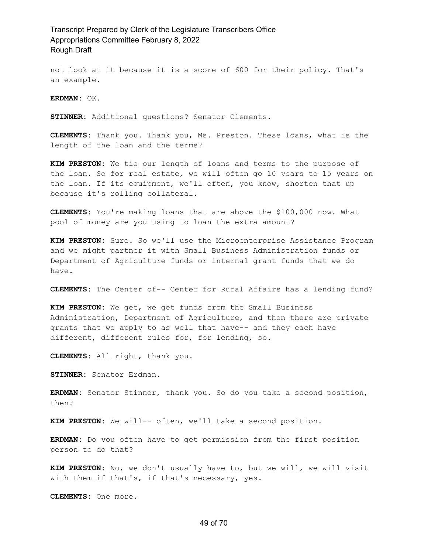not look at it because it is a score of 600 for their policy. That's an example.

**ERDMAN:** OK.

**STINNER:** Additional questions? Senator Clements.

**CLEMENTS:** Thank you. Thank you, Ms. Preston. These loans, what is the length of the loan and the terms?

**KIM PRESTON:** We tie our length of loans and terms to the purpose of the loan. So for real estate, we will often go 10 years to 15 years on the loan. If its equipment, we'll often, you know, shorten that up because it's rolling collateral.

**CLEMENTS:** You're making loans that are above the \$100,000 now. What pool of money are you using to loan the extra amount?

**KIM PRESTON:** Sure. So we'll use the Microenterprise Assistance Program and we might partner it with Small Business Administration funds or Department of Agriculture funds or internal grant funds that we do have.

**CLEMENTS:** The Center of-- Center for Rural Affairs has a lending fund?

**KIM PRESTON:** We get, we get funds from the Small Business Administration, Department of Agriculture, and then there are private grants that we apply to as well that have-- and they each have different, different rules for, for lending, so.

**CLEMENTS:** All right, thank you.

**STINNER:** Senator Erdman.

**ERDMAN:** Senator Stinner, thank you. So do you take a second position, then?

**KIM PRESTON:** We will-- often, we'll take a second position.

**ERDMAN:** Do you often have to get permission from the first position person to do that?

**KIM PRESTON:** No, we don't usually have to, but we will, we will visit with them if that's, if that's necessary, yes.

**CLEMENTS:** One more.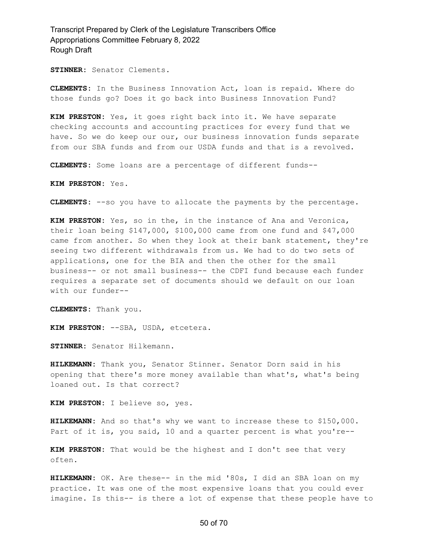**STINNER:** Senator Clements.

**CLEMENTS:** In the Business Innovation Act, loan is repaid. Where do those funds go? Does it go back into Business Innovation Fund?

**KIM PRESTON:** Yes, it goes right back into it. We have separate checking accounts and accounting practices for every fund that we have. So we do keep our our, our business innovation funds separate from our SBA funds and from our USDA funds and that is a revolved.

**CLEMENTS:** Some loans are a percentage of different funds--

**KIM PRESTON:** Yes.

**CLEMENTS:** --so you have to allocate the payments by the percentage.

**KIM PRESTON:** Yes, so in the, in the instance of Ana and Veronica, their loan being \$147,000, \$100,000 came from one fund and \$47,000 came from another. So when they look at their bank statement, they're seeing two different withdrawals from us. We had to do two sets of applications, one for the BIA and then the other for the small business-- or not small business-- the CDFI fund because each funder requires a separate set of documents should we default on our loan with our funder--

**CLEMENTS:** Thank you.

**KIM PRESTON:** --SBA, USDA, etcetera.

**STINNER:** Senator Hilkemann.

**HILKEMANN:** Thank you, Senator Stinner. Senator Dorn said in his opening that there's more money available than what's, what's being loaned out. Is that correct?

**KIM PRESTON:** I believe so, yes.

**HILKEMANN:** And so that's why we want to increase these to \$150,000. Part of it is, you said, 10 and a quarter percent is what you're--

**KIM PRESTON:** That would be the highest and I don't see that very often.

**HILKEMANN:** OK. Are these-- in the mid '80s, I did an SBA loan on my practice. It was one of the most expensive loans that you could ever imagine. Is this-- is there a lot of expense that these people have to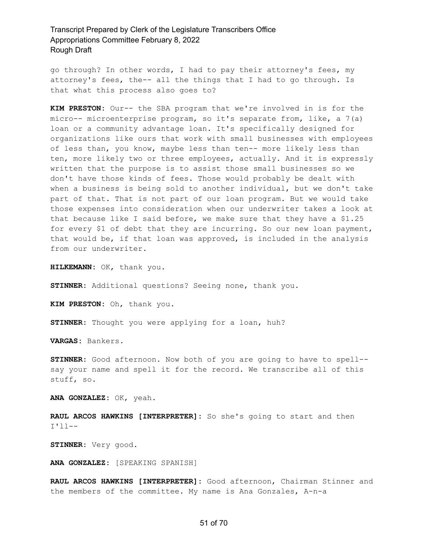go through? In other words, I had to pay their attorney's fees, my attorney's fees, the-- all the things that I had to go through. Is that what this process also goes to?

**KIM PRESTON:** Our-- the SBA program that we're involved in is for the micro-- microenterprise program, so it's separate from, like, a 7(a) loan or a community advantage loan. It's specifically designed for organizations like ours that work with small businesses with employees of less than, you know, maybe less than ten-- more likely less than ten, more likely two or three employees, actually. And it is expressly written that the purpose is to assist those small businesses so we don't have those kinds of fees. Those would probably be dealt with when a business is being sold to another individual, but we don't take part of that. That is not part of our loan program. But we would take those expenses into consideration when our underwriter takes a look at that because like I said before, we make sure that they have a \$1.25 for every \$1 of debt that they are incurring. So our new loan payment, that would be, if that loan was approved, is included in the analysis from our underwriter.

**HILKEMANN:** OK, thank you.

**STINNER:** Additional questions? Seeing none, thank you.

**KIM PRESTON:** Oh, thank you.

**STINNER:** Thought you were applying for a loan, huh?

**VARGAS:** Bankers.

**STINNER:** Good afternoon. Now both of you are going to have to spell- say your name and spell it for the record. We transcribe all of this stuff, so.

**ANA GONZALEZ:** OK, yeah.

**RAUL ARCOS HAWKINS [INTERPRETER]:** So she's going to start and then I'll--

**STINNER:** Very good.

**ANA GONZALEZ:** [SPEAKING SPANISH]

**RAUL ARCOS HAWKINS [INTERPRETER]:** Good afternoon, Chairman Stinner and the members of the committee. My name is Ana Gonzales, A-n-a

#### 51 of 70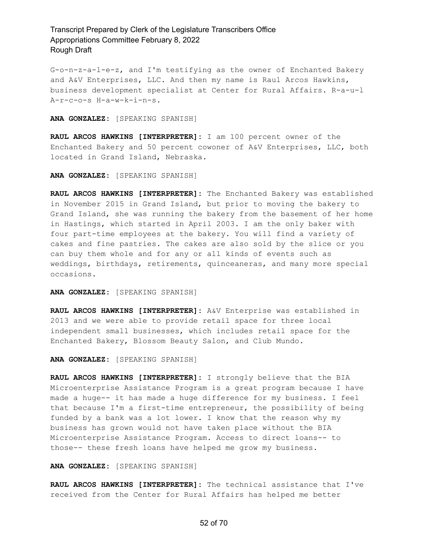G-o-n-z-a-l-e-z, and I'm testifying as the owner of Enchanted Bakery and A&V Enterprises, LLC. And then my name is Raul Arcos Hawkins, business development specialist at Center for Rural Affairs. R-a-u-l A-r-c-o-s H-a-w-k-i-n-s.

**ANA GONZALEZ:** [SPEAKING SPANISH]

**RAUL ARCOS HAWKINS [INTERPRETER]:** I am 100 percent owner of the Enchanted Bakery and 50 percent cowoner of A&V Enterprises, LLC, both located in Grand Island, Nebraska.

**ANA GONZALEZ:** [SPEAKING SPANISH]

**RAUL ARCOS HAWKINS [INTERPRETER]:** The Enchanted Bakery was established in November 2015 in Grand Island, but prior to moving the bakery to Grand Island, she was running the bakery from the basement of her home in Hastings, which started in April 2003. I am the only baker with four part-time employees at the bakery. You will find a variety of cakes and fine pastries. The cakes are also sold by the slice or you can buy them whole and for any or all kinds of events such as weddings, birthdays, retirements, quinceaneras, and many more special occasions.

**ANA GONZALEZ:** [SPEAKING SPANISH]

**RAUL ARCOS HAWKINS [INTERPRETER]:** A&V Enterprise was established in 2013 and we were able to provide retail space for three local independent small businesses, which includes retail space for the Enchanted Bakery, Blossom Beauty Salon, and Club Mundo.

**ANA GONZALEZ:** [SPEAKING SPANISH]

**RAUL ARCOS HAWKINS [INTERPRETER]:** I strongly believe that the BIA Microenterprise Assistance Program is a great program because I have made a huge-- it has made a huge difference for my business. I feel that because I'm a first-time entrepreneur, the possibility of being funded by a bank was a lot lower. I know that the reason why my business has grown would not have taken place without the BIA Microenterprise Assistance Program. Access to direct loans-- to those-- these fresh loans have helped me grow my business.

**ANA GONZALEZ:** [SPEAKING SPANISH]

**RAUL ARCOS HAWKINS [INTERPRETER]:** The technical assistance that I've received from the Center for Rural Affairs has helped me better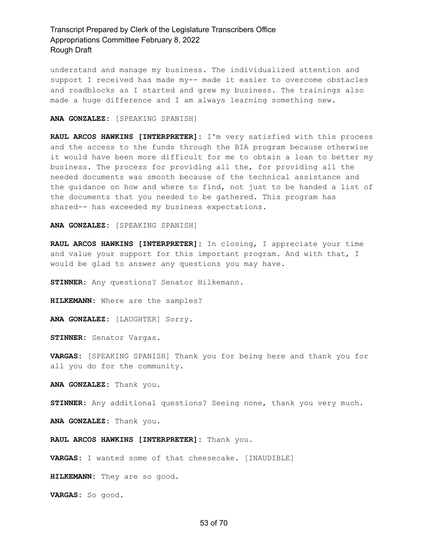understand and manage my business. The individualized attention and support I received has made my-- made it easier to overcome obstacles and roadblocks as I started and grew my business. The trainings also made a huge difference and I am always learning something new.

**ANA GONZALEZ:** [SPEAKING SPANISH]

**RAUL ARCOS HAWKINS [INTERPRETER]:** I'm very satisfied with this process and the access to the funds through the BIA program because otherwise it would have been more difficult for me to obtain a loan to better my business. The process for providing all the, for providing all the needed documents was smooth because of the technical assistance and the guidance on how and where to find, not just to be handed a list of the documents that you needed to be gathered. This program has shared-- has exceeded my business expectations.

**ANA GONZALEZ:** [SPEAKING SPANISH]

**RAUL ARCOS HAWKINS [INTERPRETER]:** In closing, I appreciate your time and value your support for this important program. And with that, I would be glad to answer any questions you may have.

**STINNER:** Any questions? Senator Hilkemann.

**HILKEMANN:** Where are the samples?

**ANA GONZALEZ:** [LAUGHTER] Sorry.

**STINNER:** Senator Vargas.

**VARGAS:** [SPEAKING SPANISH] Thank you for being here and thank you for all you do for the community.

**ANA GONZALEZ:** Thank you.

**STINNER:** Any additional questions? Seeing none, thank you very much.

**ANA GONZALEZ:** Thank you.

**RAUL ARCOS HAWKINS [INTERPRETER]:** Thank you.

**VARGAS:** I wanted some of that cheesecake. [INAUDIBLE]

**HILKEMANN:** They are so good.

**VARGAS:** So good.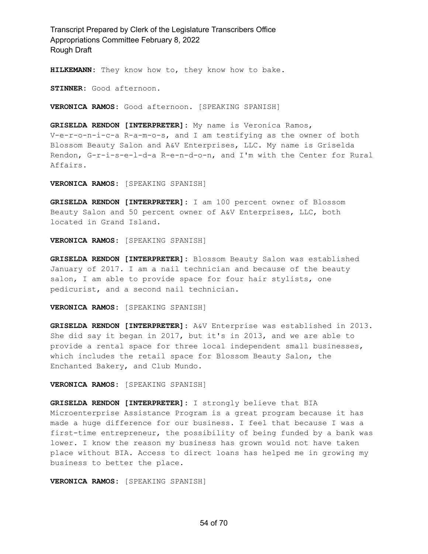**HILKEMANN:** They know how to, they know how to bake.

**STINNER:** Good afternoon.

**VERONICA RAMOS:** Good afternoon. [SPEAKING SPANISH]

**GRISELDA RENDON [INTERPRETER]:** My name is Veronica Ramos, V-e-r-o-n-i-c-a R-a-m-o-s, and I am testifying as the owner of both Blossom Beauty Salon and A&V Enterprises, LLC. My name is Griselda Rendon, G-r-i-s-e-l-d-a R-e-n-d-o-n, and I'm with the Center for Rural Affairs.

**VERONICA RAMOS:** [SPEAKING SPANISH]

**GRISELDA RENDON [INTERPRETER]:** I am 100 percent owner of Blossom Beauty Salon and 50 percent owner of A&V Enterprises, LLC, both located in Grand Island.

**VERONICA RAMOS:** [SPEAKING SPANISH]

**GRISELDA RENDON [INTERPRETER]:** Blossom Beauty Salon was established January of 2017. I am a nail technician and because of the beauty salon, I am able to provide space for four hair stylists, one pedicurist, and a second nail technician.

**VERONICA RAMOS:** [SPEAKING SPANISH]

**GRISELDA RENDON [INTERPRETER]:** A&V Enterprise was established in 2013. She did say it began in 2017, but it's in 2013, and we are able to provide a rental space for three local independent small businesses, which includes the retail space for Blossom Beauty Salon, the Enchanted Bakery, and Club Mundo.

**VERONICA RAMOS:** [SPEAKING SPANISH]

**GRISELDA RENDON [INTERPRETER]:** I strongly believe that BIA Microenterprise Assistance Program is a great program because it has made a huge difference for our business. I feel that because I was a first-time entrepreneur, the possibility of being funded by a bank was lower. I know the reason my business has grown would not have taken place without BIA. Access to direct loans has helped me in growing my business to better the place.

**VERONICA RAMOS:** [SPEAKING SPANISH]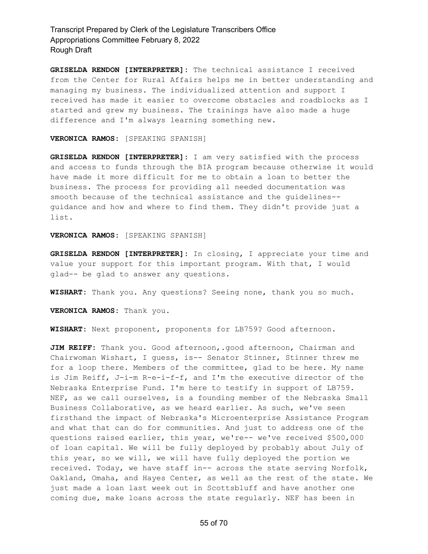**GRISELDA RENDON [INTERPRETER]:** The technical assistance I received from the Center for Rural Affairs helps me in better understanding and managing my business. The individualized attention and support I received has made it easier to overcome obstacles and roadblocks as I started and grew my business. The trainings have also made a huge difference and I'm always learning something new.

**VERONICA RAMOS:** [SPEAKING SPANISH]

**GRISELDA RENDON [INTERPRETER]:** I am very satisfied with the process and access to funds through the BIA program because otherwise it would have made it more difficult for me to obtain a loan to better the business. The process for providing all needed documentation was smooth because of the technical assistance and the guidelines- guidance and how and where to find them. They didn't provide just a list.

#### **VERONICA RAMOS:** [SPEAKING SPANISH]

**GRISELDA RENDON [INTERPRETER]:** In closing, I appreciate your time and value your support for this important program. With that, I would glad-- be glad to answer any questions.

**WISHART:** Thank you. Any questions? Seeing none, thank you so much.

**VERONICA RAMOS:** Thank you.

**WISHART:** Next proponent, proponents for LB759? Good afternoon.

**JIM REIFF:** Thank you. Good afternoon,.good afternoon, Chairman and Chairwoman Wishart, I guess, is-- Senator Stinner, Stinner threw me for a loop there. Members of the committee, glad to be here. My name is Jim Reiff, J-i-m R-e-i-f-f, and I'm the executive director of the Nebraska Enterprise Fund. I'm here to testify in support of LB759. NEF, as we call ourselves, is a founding member of the Nebraska Small Business Collaborative, as we heard earlier. As such, we've seen firsthand the impact of Nebraska's Microenterprise Assistance Program and what that can do for communities. And just to address one of the questions raised earlier, this year, we're-- we've received \$500,000 of loan capital. We will be fully deployed by probably about July of this year, so we will, we will have fully deployed the portion we received. Today, we have staff in-- across the state serving Norfolk, Oakland, Omaha, and Hayes Center, as well as the rest of the state. We just made a loan last week out in Scottsbluff and have another one coming due, make loans across the state regularly. NEF has been in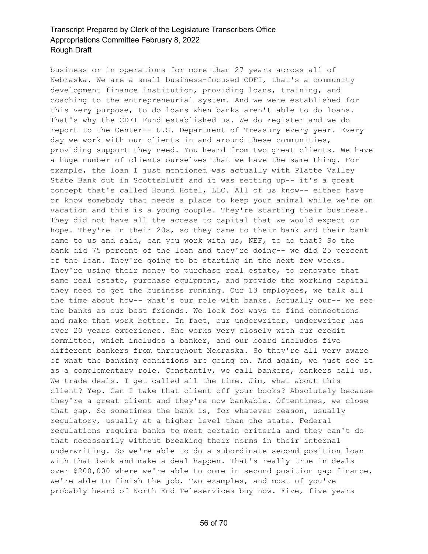business or in operations for more than 27 years across all of Nebraska. We are a small business-focused CDFI, that's a community development finance institution, providing loans, training, and coaching to the entrepreneurial system. And we were established for this very purpose, to do loans when banks aren't able to do loans. That's why the CDFI Fund established us. We do register and we do report to the Center-- U.S. Department of Treasury every year. Every day we work with our clients in and around these communities, providing support they need. You heard from two great clients. We have a huge number of clients ourselves that we have the same thing. For example, the loan I just mentioned was actually with Platte Valley State Bank out in Scottsbluff and it was setting up-- it's a great concept that's called Hound Hotel, LLC. All of us know-- either have or know somebody that needs a place to keep your animal while we're on vacation and this is a young couple. They're starting their business. They did not have all the access to capital that we would expect or hope. They're in their 20s, so they came to their bank and their bank came to us and said, can you work with us, NEF, to do that? So the bank did 75 percent of the loan and they're doing-- we did 25 percent of the loan. They're going to be starting in the next few weeks. They're using their money to purchase real estate, to renovate that same real estate, purchase equipment, and provide the working capital they need to get the business running. Our 13 employees, we talk all the time about how-- what's our role with banks. Actually our-- we see the banks as our best friends. We look for ways to find connections and make that work better. In fact, our underwriter, underwriter has over 20 years experience. She works very closely with our credit committee, which includes a banker, and our board includes five different bankers from throughout Nebraska. So they're all very aware of what the banking conditions are going on. And again, we just see it as a complementary role. Constantly, we call bankers, bankers call us. We trade deals. I get called all the time. Jim, what about this client? Yep. Can I take that client off your books? Absolutely because they're a great client and they're now bankable. Oftentimes, we close that gap. So sometimes the bank is, for whatever reason, usually regulatory, usually at a higher level than the state. Federal regulations require banks to meet certain criteria and they can't do that necessarily without breaking their norms in their internal underwriting. So we're able to do a subordinate second position loan with that bank and make a deal happen. That's really true in deals over \$200,000 where we're able to come in second position gap finance, we're able to finish the job. Two examples, and most of you've probably heard of North End Teleservices buy now. Five, five years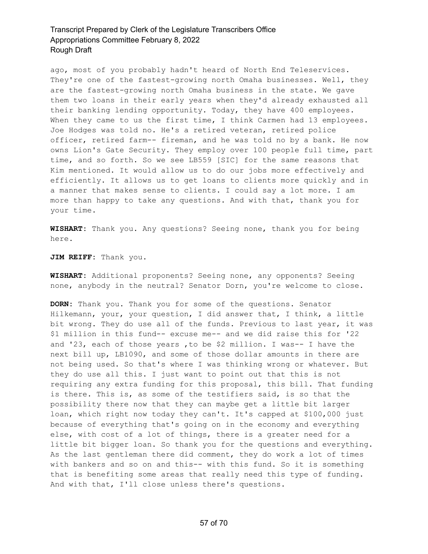ago, most of you probably hadn't heard of North End Teleservices. They're one of the fastest-growing north Omaha businesses. Well, they are the fastest-growing north Omaha business in the state. We gave them two loans in their early years when they'd already exhausted all their banking lending opportunity. Today, they have 400 employees. When they came to us the first time, I think Carmen had 13 employees. Joe Hodges was told no. He's a retired veteran, retired police officer, retired farm-- fireman, and he was told no by a bank. He now owns Lion's Gate Security. They employ over 100 people full time, part time, and so forth. So we see LB559 [SIC] for the same reasons that Kim mentioned. It would allow us to do our jobs more effectively and efficiently. It allows us to get loans to clients more quickly and in a manner that makes sense to clients. I could say a lot more. I am more than happy to take any questions. And with that, thank you for your time.

**WISHART:** Thank you. Any questions? Seeing none, thank you for being here.

**JIM REIFF:** Thank you.

**WISHART:** Additional proponents? Seeing none, any opponents? Seeing none, anybody in the neutral? Senator Dorn, you're welcome to close.

**DORN:** Thank you. Thank you for some of the questions. Senator Hilkemann, your, your question, I did answer that, I think, a little bit wrong. They do use all of the funds. Previous to last year, it was \$1 million in this fund-- excuse me-- and we did raise this for '22 and '23, each of those years ,to be \$2 million. I was-- I have the next bill up, LB1090, and some of those dollar amounts in there are not being used. So that's where I was thinking wrong or whatever. But they do use all this. I just want to point out that this is not requiring any extra funding for this proposal, this bill. That funding is there. This is, as some of the testifiers said, is so that the possibility there now that they can maybe get a little bit larger loan, which right now today they can't. It's capped at \$100,000 just because of everything that's going on in the economy and everything else, with cost of a lot of things, there is a greater need for a little bit bigger loan. So thank you for the questions and everything. As the last gentleman there did comment, they do work a lot of times with bankers and so on and this-- with this fund. So it is something that is benefiting some areas that really need this type of funding. And with that, I'll close unless there's questions.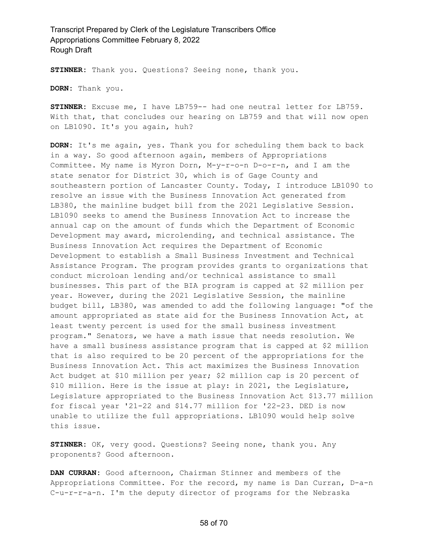**STINNER:** Thank you. Questions? Seeing none, thank you.

**DORN:** Thank you.

**STINNER:** Excuse me, I have LB759-- had one neutral letter for LB759. With that, that concludes our hearing on LB759 and that will now open on LB1090. It's you again, huh?

**DORN:** It's me again, yes. Thank you for scheduling them back to back in a way. So good afternoon again, members of Appropriations Committee. My name is Myron Dorn, M-y-r-o-n D-o-r-n, and I am the state senator for District 30, which is of Gage County and southeastern portion of Lancaster County. Today, I introduce LB1090 to resolve an issue with the Business Innovation Act generated from LB380, the mainline budget bill from the 2021 Legislative Session. LB1090 seeks to amend the Business Innovation Act to increase the annual cap on the amount of funds which the Department of Economic Development may award, microlending, and technical assistance. The Business Innovation Act requires the Department of Economic Development to establish a Small Business Investment and Technical Assistance Program. The program provides grants to organizations that conduct microloan lending and/or technical assistance to small businesses. This part of the BIA program is capped at \$2 million per year. However, during the 2021 Legislative Session, the mainline budget bill, LB380, was amended to add the following language: "of the amount appropriated as state aid for the Business Innovation Act, at least twenty percent is used for the small business investment program." Senators, we have a math issue that needs resolution. We have a small business assistance program that is capped at \$2 million that is also required to be 20 percent of the appropriations for the Business Innovation Act. This act maximizes the Business Innovation Act budget at \$10 million per year; \$2 million cap is 20 percent of \$10 million. Here is the issue at play: in 2021, the Legislature, Legislature appropriated to the Business Innovation Act \$13.77 million for fiscal year '21-22 and \$14.77 million for '22-23. DED is now unable to utilize the full appropriations. LB1090 would help solve this issue.

**STINNER:** OK, very good. Questions? Seeing none, thank you. Any proponents? Good afternoon.

**DAN CURRAN:** Good afternoon, Chairman Stinner and members of the Appropriations Committee. For the record, my name is Dan Curran, D-a-n C-u-r-r-a-n. I'm the deputy director of programs for the Nebraska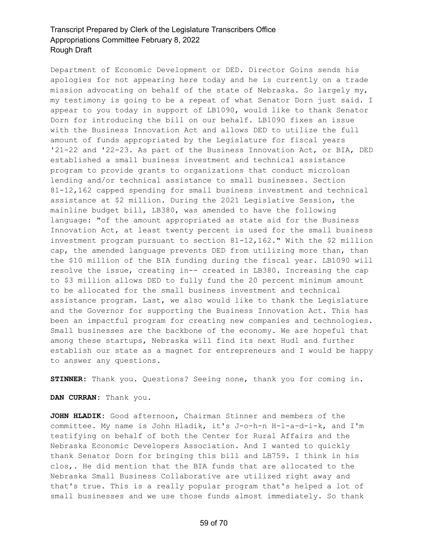Department of Economic Development or DED. Director Goins sends his apologies for not appearing here today and he is currently on a trade mission advocating on behalf of the state of Nebraska. So largely my, my testimony is going to be a repeat of what Senator Dorn just said. I appear to you today in support of LB1090, would like to thank Senator Dorn for introducing the bill on our behalf. LB1090 fixes an issue with the Business Innovation Act and allows DED to utilize the full amount of funds appropriated by the Legislature for fiscal years '21-22 and '22-23. As part of the Business Innovation Act, or BIA, DED established a small business investment and technical assistance program to provide grants to organizations that conduct microloan lending and/or technical assistance to small businesses. Section 81-12,162 capped spending for small business investment and technical assistance at \$2 million. During the 2021 Legislative Session, the mainline budget bill, LB380, was amended to have the following language: "of the amount appropriated as state aid for the Business Innovation Act, at least twenty percent is used for the small business investment program pursuant to section 81-12,162." With the \$2 million cap, the amended language prevents DED from utilizing more than, than the \$10 million of the BIA funding during the fiscal year. LB1090 will resolve the issue, creating in-- created in LB380. Increasing the cap to \$3 million allows DED to fully fund the 20 percent minimum amount to be allocated for the small business investment and technical assistance program. Last, we also would like to thank the Legislature and the Governor for supporting the Business Innovation Act. This has been an impactful program for creating new companies and technologies. Small businesses are the backbone of the economy. We are hopeful that among these startups, Nebraska will find its next Hudl and further establish our state as a magnet for entrepreneurs and I would be happy to answer any questions.

**STINNER:** Thank you. Questions? Seeing none, thank you for coming in.

**DAN CURRAN:** Thank you.

**JOHN HLADIK:** Good afternoon, Chairman Stinner and members of the committee. My name is John Hladik, it's J-o-h-n H-l-a-d-i-k, and I'm testifying on behalf of both the Center for Rural Affairs and the Nebraska Economic Developers Association. And I wanted to quickly thank Senator Dorn for bringing this bill and LB759. I think in his clos,. He did mention that the BIA funds that are allocated to the Nebraska Small Business Collaborative are utilized right away and that's true. This is a really popular program that's helped a lot of small businesses and we use those funds almost immediately. So thank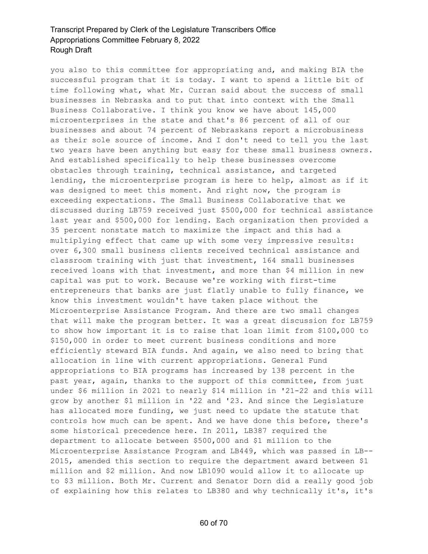you also to this committee for appropriating and, and making BIA the successful program that it is today. I want to spend a little bit of time following what, what Mr. Curran said about the success of small businesses in Nebraska and to put that into context with the Small Business Collaborative. I think you know we have about 145,000 microenterprises in the state and that's 86 percent of all of our businesses and about 74 percent of Nebraskans report a microbusiness as their sole source of income. And I don't need to tell you the last two years have been anything but easy for these small business owners. And established specifically to help these businesses overcome obstacles through training, technical assistance, and targeted lending, the microenterprise program is here to help, almost as if it was designed to meet this moment. And right now, the program is exceeding expectations. The Small Business Collaborative that we discussed during LB759 received just \$500,000 for technical assistance last year and \$500,000 for lending. Each organization then provided a 35 percent nonstate match to maximize the impact and this had a multiplying effect that came up with some very impressive results: over 6,300 small business clients received technical assistance and classroom training with just that investment, 164 small businesses received loans with that investment, and more than \$4 million in new capital was put to work. Because we're working with first-time entrepreneurs that banks are just flatly unable to fully finance, we know this investment wouldn't have taken place without the Microenterprise Assistance Program. And there are two small changes that will make the program better. It was a great discussion for LB759 to show how important it is to raise that loan limit from \$100,000 to \$150,000 in order to meet current business conditions and more efficiently steward BIA funds. And again, we also need to bring that allocation in line with current appropriations. General Fund appropriations to BIA programs has increased by 138 percent in the past year, again, thanks to the support of this committee, from just under \$6 million in 2021 to nearly \$14 million in '21-22 and this will grow by another \$1 million in '22 and '23. And since the Legislature has allocated more funding, we just need to update the statute that controls how much can be spent. And we have done this before, there's some historical precedence here. In 2011, LB387 required the department to allocate between \$500,000 and \$1 million to the Microenterprise Assistance Program and LB449, which was passed in LB-- 2015, amended this section to require the department award between \$1 million and \$2 million. And now LB1090 would allow it to allocate up to \$3 million. Both Mr. Current and Senator Dorn did a really good job of explaining how this relates to LB380 and why technically it's, it's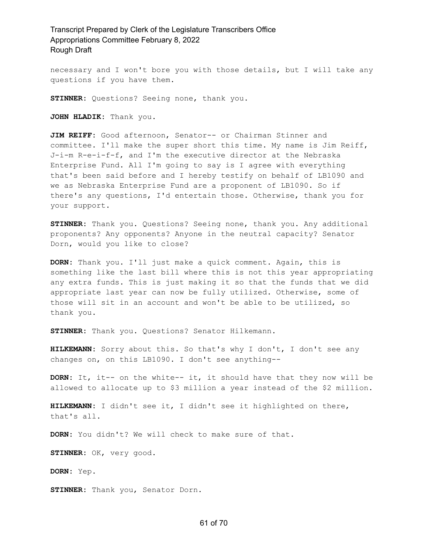necessary and I won't bore you with those details, but I will take any questions if you have them.

**STINNER:** Questions? Seeing none, thank you.

**JOHN HLADIK:** Thank you.

**JIM REIFF:** Good afternoon, Senator-- or Chairman Stinner and committee. I'll make the super short this time. My name is Jim Reiff, J-i-m R-e-i-f-f, and I'm the executive director at the Nebraska Enterprise Fund. All I'm going to say is I agree with everything that's been said before and I hereby testify on behalf of LB1090 and we as Nebraska Enterprise Fund are a proponent of LB1090. So if there's any questions, I'd entertain those. Otherwise, thank you for your support.

**STINNER:** Thank you. Questions? Seeing none, thank you. Any additional proponents? Any opponents? Anyone in the neutral capacity? Senator Dorn, would you like to close?

**DORN:** Thank you. I'll just make a quick comment. Again, this is something like the last bill where this is not this year appropriating any extra funds. This is just making it so that the funds that we did appropriate last year can now be fully utilized. Otherwise, some of those will sit in an account and won't be able to be utilized, so thank you.

**STINNER:** Thank you. Questions? Senator Hilkemann.

**HILKEMANN:** Sorry about this. So that's why I don't, I don't see any changes on, on this LB1090. I don't see anything--

**DORN:** It, it-- on the white-- it, it should have that they now will be allowed to allocate up to \$3 million a year instead of the \$2 million.

**HILKEMANN:** I didn't see it, I didn't see it highlighted on there, that's all.

**DORN:** You didn't? We will check to make sure of that.

**STINNER:** OK, very good.

**DORN:** Yep.

**STINNER:** Thank you, Senator Dorn.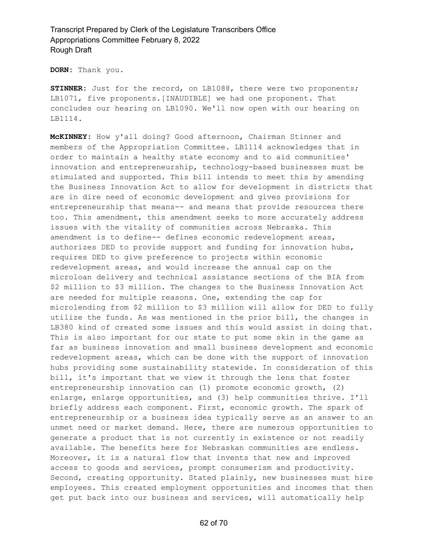**DORN:** Thank you.

**STINNER:** Just for the record, on LB1088, there were two proponents; LB1071, five proponents.[INAUDIBLE] we had one proponent. That concludes our hearing on LB1090. We'll now open with our hearing on LB1114.

**McKINNEY:** How y'all doing? Good afternoon, Chairman Stinner and members of the Appropriation Committee. LB1114 acknowledges that in order to maintain a healthy state economy and to aid communities' innovation and entrepreneurship, technology-based businesses must be stimulated and supported. This bill intends to meet this by amending the Business Innovation Act to allow for development in districts that are in dire need of economic development and gives provisions for entrepreneurship that means-- and means that provide resources there too. This amendment, this amendment seeks to more accurately address issues with the vitality of communities across Nebraska. This amendment is to define-- defines economic redevelopment areas, authorizes DED to provide support and funding for innovation hubs, requires DED to give preference to projects within economic redevelopment areas, and would increase the annual cap on the microloan delivery and technical assistance sections of the BIA from \$2 million to \$3 million. The changes to the Business Innovation Act are needed for multiple reasons. One, extending the cap for microlending from \$2 million to \$3 million will allow for DED to fully utilize the funds. As was mentioned in the prior bill, the changes in LB380 kind of created some issues and this would assist in doing that. This is also important for our state to put some skin in the game as far as business innovation and small business development and economic redevelopment areas, which can be done with the support of innovation hubs providing some sustainability statewide. In consideration of this bill, it's important that we view it through the lens that foster entrepreneurship innovation can (1) promote economic growth, (2) enlarge, enlarge opportunities, and (3) help communities thrive. I'll briefly address each component. First, economic growth. The spark of entrepreneurship or a business idea typically serve as an answer to an unmet need or market demand. Here, there are numerous opportunities to generate a product that is not currently in existence or not readily available. The benefits here for Nebraskan communities are endless. Moreover, it is a natural flow that invents that new and improved access to goods and services, prompt consumerism and productivity. Second, creating opportunity. Stated plainly, new businesses must hire employees. This created employment opportunities and incomes that then get put back into our business and services, will automatically help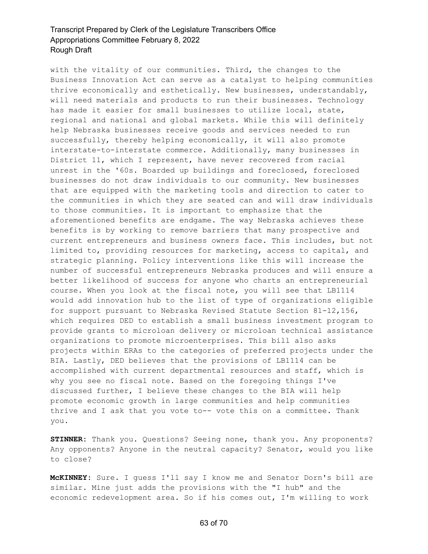with the vitality of our communities. Third, the changes to the Business Innovation Act can serve as a catalyst to helping communities thrive economically and esthetically. New businesses, understandably, will need materials and products to run their businesses. Technology has made it easier for small businesses to utilize local, state, regional and national and global markets. While this will definitely help Nebraska businesses receive goods and services needed to run successfully, thereby helping economically, it will also promote interstate-to-interstate commerce. Additionally, many businesses in District 11, which I represent, have never recovered from racial unrest in the '60s. Boarded up buildings and foreclosed, foreclosed businesses do not draw individuals to our community. New businesses that are equipped with the marketing tools and direction to cater to the communities in which they are seated can and will draw individuals to those communities. It is important to emphasize that the aforementioned benefits are endgame. The way Nebraska achieves these benefits is by working to remove barriers that many prospective and current entrepreneurs and business owners face. This includes, but not limited to, providing resources for marketing, access to capital, and strategic planning. Policy interventions like this will increase the number of successful entrepreneurs Nebraska produces and will ensure a better likelihood of success for anyone who charts an entrepreneurial course. When you look at the fiscal note, you will see that LB1114 would add innovation hub to the list of type of organizations eligible for support pursuant to Nebraska Revised Statute Section 81-12,156, which requires DED to establish a small business investment program to provide grants to microloan delivery or microloan technical assistance organizations to promote microenterprises. This bill also asks projects within ERAs to the categories of preferred projects under the BIA. Lastly, DED believes that the provisions of LB1114 can be accomplished with current departmental resources and staff, which is why you see no fiscal note. Based on the foregoing things I've discussed further, I believe these changes to the BIA will help promote economic growth in large communities and help communities thrive and I ask that you vote to-- vote this on a committee. Thank you.

**STINNER:** Thank you. Questions? Seeing none, thank you. Any proponents? Any opponents? Anyone in the neutral capacity? Senator, would you like to close?

**McKINNEY:** Sure. I guess I'll say I know me and Senator Dorn's bill are similar. Mine just adds the provisions with the "I hub" and the economic redevelopment area. So if his comes out, I'm willing to work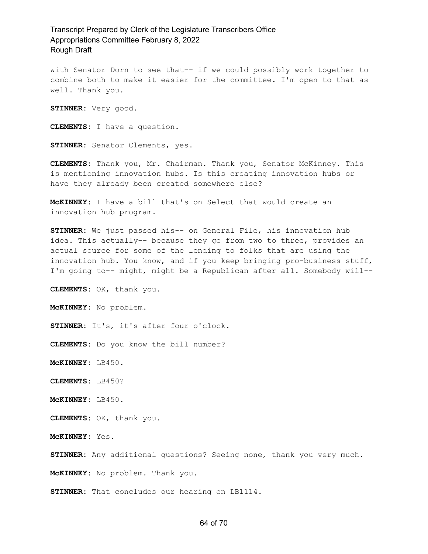with Senator Dorn to see that-- if we could possibly work together to combine both to make it easier for the committee. I'm open to that as well. Thank you.

**STINNER:** Very good.

**CLEMENTS:** I have a question.

**STINNER:** Senator Clements, yes.

**CLEMENTS:** Thank you, Mr. Chairman. Thank you, Senator McKinney. This is mentioning innovation hubs. Is this creating innovation hubs or have they already been created somewhere else?

**McKINNEY:** I have a bill that's on Select that would create an innovation hub program.

**STINNER:** We just passed his-- on General File, his innovation hub idea. This actually-- because they go from two to three, provides an actual source for some of the lending to folks that are using the innovation hub. You know, and if you keep bringing pro-business stuff, I'm going to-- might, might be a Republican after all. Somebody will--

**CLEMENTS:** OK, thank you.

**McKINNEY:** No problem.

**STINNER:** It's, it's after four o'clock.

**CLEMENTS:** Do you know the bill number?

**McKINNEY:** LB450.

**CLEMENTS:** LB450?

**McKINNEY:** LB450.

**CLEMENTS:** OK, thank you.

**McKINNEY:** Yes.

**STINNER:** Any additional questions? Seeing none, thank you very much.

**McKINNEY:** No problem. Thank you.

**STINNER:** That concludes our hearing on LB1114.

#### 64 of 70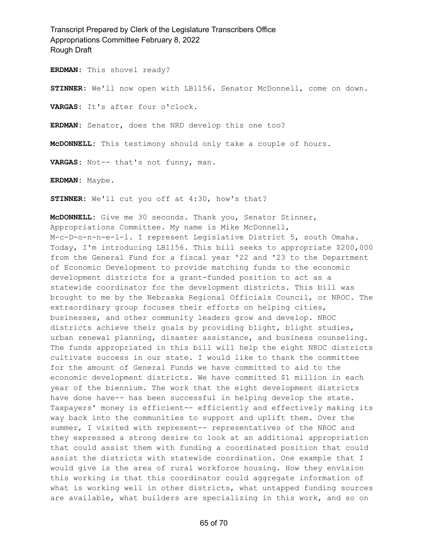**ERDMAN:** This shovel ready?

**STINNER:** We'll now open with LB1156. Senator McDonnell, come on down.

**VARGAS:** It's after four o'clock.

**ERDMAN:** Senator, does the NRD develop this one too?

**McDONNELL:** This testimony should only take a couple of hours.

**VARGAS:** Not-- that's not funny, man.

**ERDMAN:** Maybe.

**STINNER:** We'll cut you off at 4:30, how's that?

**McDONNELL:** Give me 30 seconds. Thank you, Senator Stinner, Appropriations Committee. My name is Mike McDonnell, M-c-D-o-n-n-e-l-l. I represent Legislative District 5, south Omaha. Today, I'm introducing LB1156. This bill seeks to appropriate \$200,000 from the General Fund for a fiscal year '22 and '23 to the Department of Economic Development to provide matching funds to the economic development districts for a grant-funded position to act as a statewide coordinator for the development districts. This bill was brought to me by the Nebraska Regional Officials Council, or NROC. The extraordinary group focuses their efforts on helping cities, businesses, and other community leaders grow and develop. NROC districts achieve their goals by providing blight, blight studies, urban renewal planning, disaster assistance, and business counseling. The funds appropriated in this bill will help the eight NROC districts cultivate success in our state. I would like to thank the committee for the amount of General Funds we have committed to aid to the economic development districts. We have committed \$1 million in each year of the biennium. The work that the eight development districts have done have-- has been successful in helping develop the state. Taxpayers' money is efficient-- efficiently and effectively making its way back into the communities to support and uplift them. Over the summer, I visited with represent-- representatives of the NROC and they expressed a strong desire to look at an additional appropriation that could assist them with funding a coordinated position that could assist the districts with statewide coordination. One example that I would give is the area of rural workforce housing. How they envision this working is that this coordinator could aggregate information of what is working well in other districts, what untapped funding sources are available, what builders are specializing in this work, and so on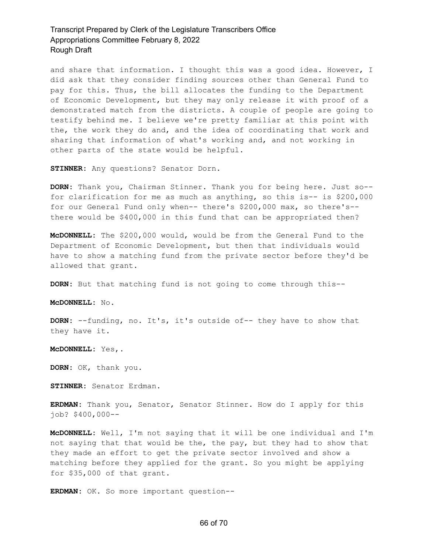and share that information. I thought this was a good idea. However, I did ask that they consider finding sources other than General Fund to pay for this. Thus, the bill allocates the funding to the Department of Economic Development, but they may only release it with proof of a demonstrated match from the districts. A couple of people are going to testify behind me. I believe we're pretty familiar at this point with the, the work they do and, and the idea of coordinating that work and sharing that information of what's working and, and not working in other parts of the state would be helpful.

**STINNER:** Any questions? Senator Dorn.

**DORN:** Thank you, Chairman Stinner. Thank you for being here. Just so- for clarification for me as much as anything, so this is-- is \$200,000 for our General Fund only when-- there's \$200,000 max, so there's- there would be \$400,000 in this fund that can be appropriated then?

**McDONNELL:** The \$200,000 would, would be from the General Fund to the Department of Economic Development, but then that individuals would have to show a matching fund from the private sector before they'd be allowed that grant.

**DORN:** But that matching fund is not going to come through this--

**McDONNELL:** No.

**DORN:** --funding, no. It's, it's outside of-- they have to show that they have it.

**McDONNELL:** Yes,.

**DORN:** OK, thank you.

**STINNER:** Senator Erdman.

**ERDMAN:** Thank you, Senator, Senator Stinner. How do I apply for this job? \$400,000--

**McDONNELL:** Well, I'm not saying that it will be one individual and I'm not saying that that would be the, the pay, but they had to show that they made an effort to get the private sector involved and show a matching before they applied for the grant. So you might be applying for \$35,000 of that grant.

**ERDMAN:** OK. So more important question--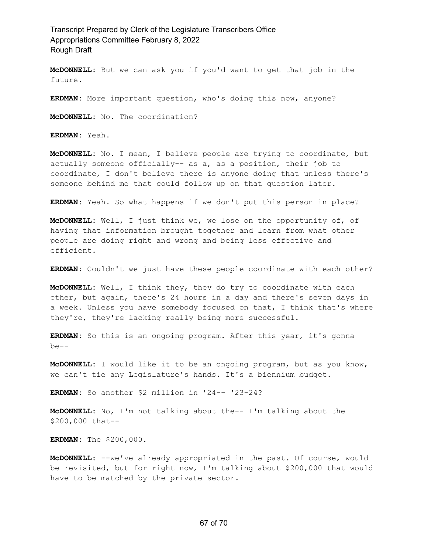**McDONNELL:** But we can ask you if you'd want to get that job in the future.

**ERDMAN:** More important question, who's doing this now, anyone?

**McDONNELL:** No. The coordination?

**ERDMAN:** Yeah.

**McDONNELL:** No. I mean, I believe people are trying to coordinate, but actually someone officially-- as a, as a position, their job to coordinate, I don't believe there is anyone doing that unless there's someone behind me that could follow up on that question later.

**ERDMAN:** Yeah. So what happens if we don't put this person in place?

**McDONNELL:** Well, I just think we, we lose on the opportunity of, of having that information brought together and learn from what other people are doing right and wrong and being less effective and efficient.

**ERDMAN:** Couldn't we just have these people coordinate with each other?

**McDONNELL:** Well, I think they, they do try to coordinate with each other, but again, there's 24 hours in a day and there's seven days in a week. Unless you have somebody focused on that, I think that's where they're, they're lacking really being more successful.

**ERDMAN:** So this is an ongoing program. After this year, it's gonna be--

**McDONNELL:** I would like it to be an ongoing program, but as you know, we can't tie any Legislature's hands. It's a biennium budget.

**ERDMAN:** So another \$2 million in '24-- '23-24?

**McDONNELL:** No, I'm not talking about the-- I'm talking about the \$200,000 that--

**ERDMAN:** The \$200,000.

**McDONNELL:** --we've already appropriated in the past. Of course, would be revisited, but for right now, I'm talking about \$200,000 that would have to be matched by the private sector.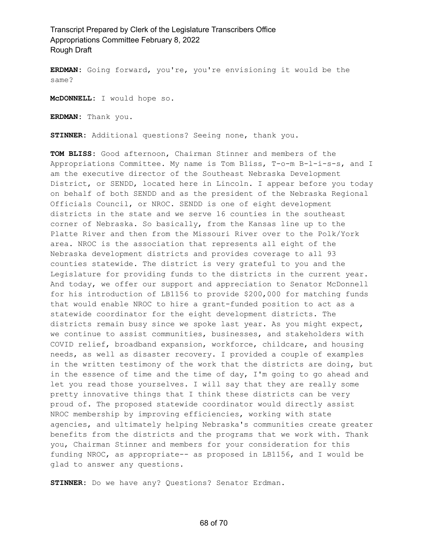**ERDMAN:** Going forward, you're, you're envisioning it would be the same?

**McDONNELL:** I would hope so.

**ERDMAN:** Thank you.

**STINNER:** Additional questions? Seeing none, thank you.

**TOM BLISS:** Good afternoon, Chairman Stinner and members of the Appropriations Committee. My name is Tom Bliss, T-o-m B-l-i-s-s, and I am the executive director of the Southeast Nebraska Development District, or SENDD, located here in Lincoln. I appear before you today on behalf of both SENDD and as the president of the Nebraska Regional Officials Council, or NROC. SENDD is one of eight development districts in the state and we serve 16 counties in the southeast corner of Nebraska. So basically, from the Kansas line up to the Platte River and then from the Missouri River over to the Polk/York area. NROC is the association that represents all eight of the Nebraska development districts and provides coverage to all 93 counties statewide. The district is very grateful to you and the Legislature for providing funds to the districts in the current year. And today, we offer our support and appreciation to Senator McDonnell for his introduction of LB1156 to provide \$200,000 for matching funds that would enable NROC to hire a grant-funded position to act as a statewide coordinator for the eight development districts. The districts remain busy since we spoke last year. As you might expect, we continue to assist communities, businesses, and stakeholders with COVID relief, broadband expansion, workforce, childcare, and housing needs, as well as disaster recovery. I provided a couple of examples in the written testimony of the work that the districts are doing, but in the essence of time and the time of day, I'm going to go ahead and let you read those yourselves. I will say that they are really some pretty innovative things that I think these districts can be very proud of. The proposed statewide coordinator would directly assist NROC membership by improving efficiencies, working with state agencies, and ultimately helping Nebraska's communities create greater benefits from the districts and the programs that we work with. Thank you, Chairman Stinner and members for your consideration for this funding NROC, as appropriate-- as proposed in LB1156, and I would be glad to answer any questions.

**STINNER:** Do we have any? Questions? Senator Erdman.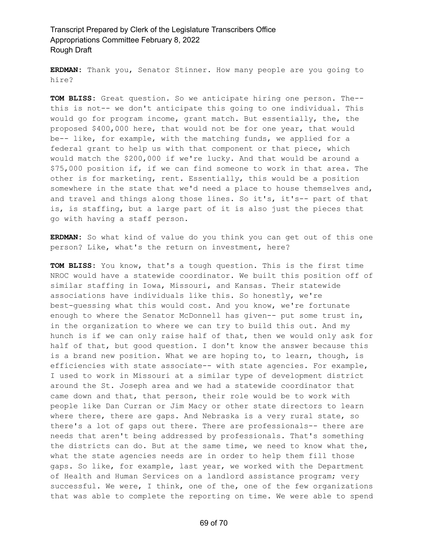**ERDMAN:** Thank you, Senator Stinner. How many people are you going to hire?

**TOM BLISS:** Great question. So we anticipate hiring one person. The- this is not-- we don't anticipate this going to one individual. This would go for program income, grant match. But essentially, the, the proposed \$400,000 here, that would not be for one year, that would be-- like, for example, with the matching funds, we applied for a federal grant to help us with that component or that piece, which would match the \$200,000 if we're lucky. And that would be around a \$75,000 position if, if we can find someone to work in that area. The other is for marketing, rent. Essentially, this would be a position somewhere in the state that we'd need a place to house themselves and, and travel and things along those lines. So it's, it's-- part of that is, is staffing, but a large part of it is also just the pieces that go with having a staff person.

**ERDMAN:** So what kind of value do you think you can get out of this one person? Like, what's the return on investment, here?

**TOM BLISS:** You know, that's a tough question. This is the first time NROC would have a statewide coordinator. We built this position off of similar staffing in Iowa, Missouri, and Kansas. Their statewide associations have individuals like this. So honestly, we're best-guessing what this would cost. And you know, we're fortunate enough to where the Senator McDonnell has given-- put some trust in, in the organization to where we can try to build this out. And my hunch is if we can only raise half of that, then we would only ask for half of that, but good question. I don't know the answer because this is a brand new position. What we are hoping to, to learn, though, is efficiencies with state associate-- with state agencies. For example, I used to work in Missouri at a similar type of development district around the St. Joseph area and we had a statewide coordinator that came down and that, that person, their role would be to work with people like Dan Curran or Jim Macy or other state directors to learn where there, there are gaps. And Nebraska is a very rural state, so there's a lot of gaps out there. There are professionals-- there are needs that aren't being addressed by professionals. That's something the districts can do. But at the same time, we need to know what the, what the state agencies needs are in order to help them fill those gaps. So like, for example, last year, we worked with the Department of Health and Human Services on a landlord assistance program; very successful. We were, I think, one of the, one of the few organizations that was able to complete the reporting on time. We were able to spend